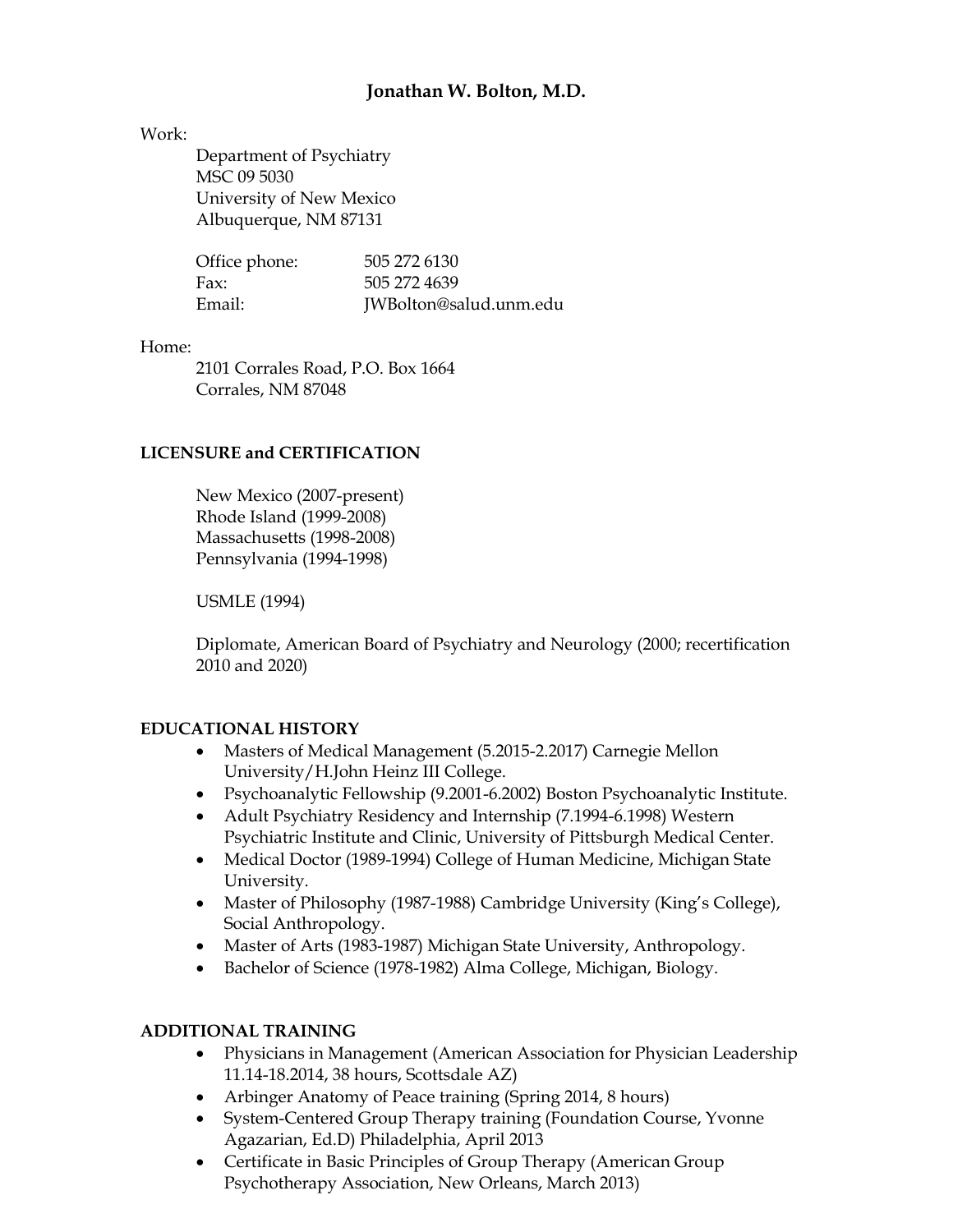## **Jonathan W. Bolton, M.D.**

#### Work:

Department of Psychiatry MSC 09 5030 University of New Mexico Albuquerque, NM 87131

| Office phone: | 505 272 6130           |
|---------------|------------------------|
| Fax:          | 505 272 4639           |
| Email:        | JWBolton@salud.unm.edu |

#### Home:

2101 Corrales Road, P.O. Box 1664 Corrales, NM 87048

### **LICENSURE and CERTIFICATION**

New Mexico (2007-present) Rhode Island (1999-2008) Massachusetts (1998-2008) Pennsylvania (1994-1998)

USMLE (1994)

Diplomate, American Board of Psychiatry and Neurology (2000; recertification 2010 and 2020)

#### **EDUCATIONAL HISTORY**

- Masters of Medical Management (5.2015-2.2017) Carnegie Mellon University/H.John Heinz III College.
- Psychoanalytic Fellowship (9.2001-6.2002) Boston Psychoanalytic Institute.
- Adult Psychiatry Residency and Internship (7.1994-6.1998) Western Psychiatric Institute and Clinic, University of Pittsburgh Medical Center.
- Medical Doctor (1989-1994) College of Human Medicine, Michigan State University.
- Master of Philosophy (1987-1988) Cambridge University (King's College), Social Anthropology.
- Master of Arts (1983-1987) Michigan State University, Anthropology.
- Bachelor of Science (1978-1982) Alma College, Michigan, Biology.

## **ADDITIONAL TRAINING**

- Physicians in Management (American Association for Physician Leadership 11.14-18.2014, 38 hours, Scottsdale AZ)
- Arbinger Anatomy of Peace training (Spring 2014, 8 hours)
- System-Centered Group Therapy training (Foundation Course, Yvonne Agazarian, Ed.D) Philadelphia, April 2013
- Certificate in Basic Principles of Group Therapy (American Group Psychotherapy Association, New Orleans, March 2013)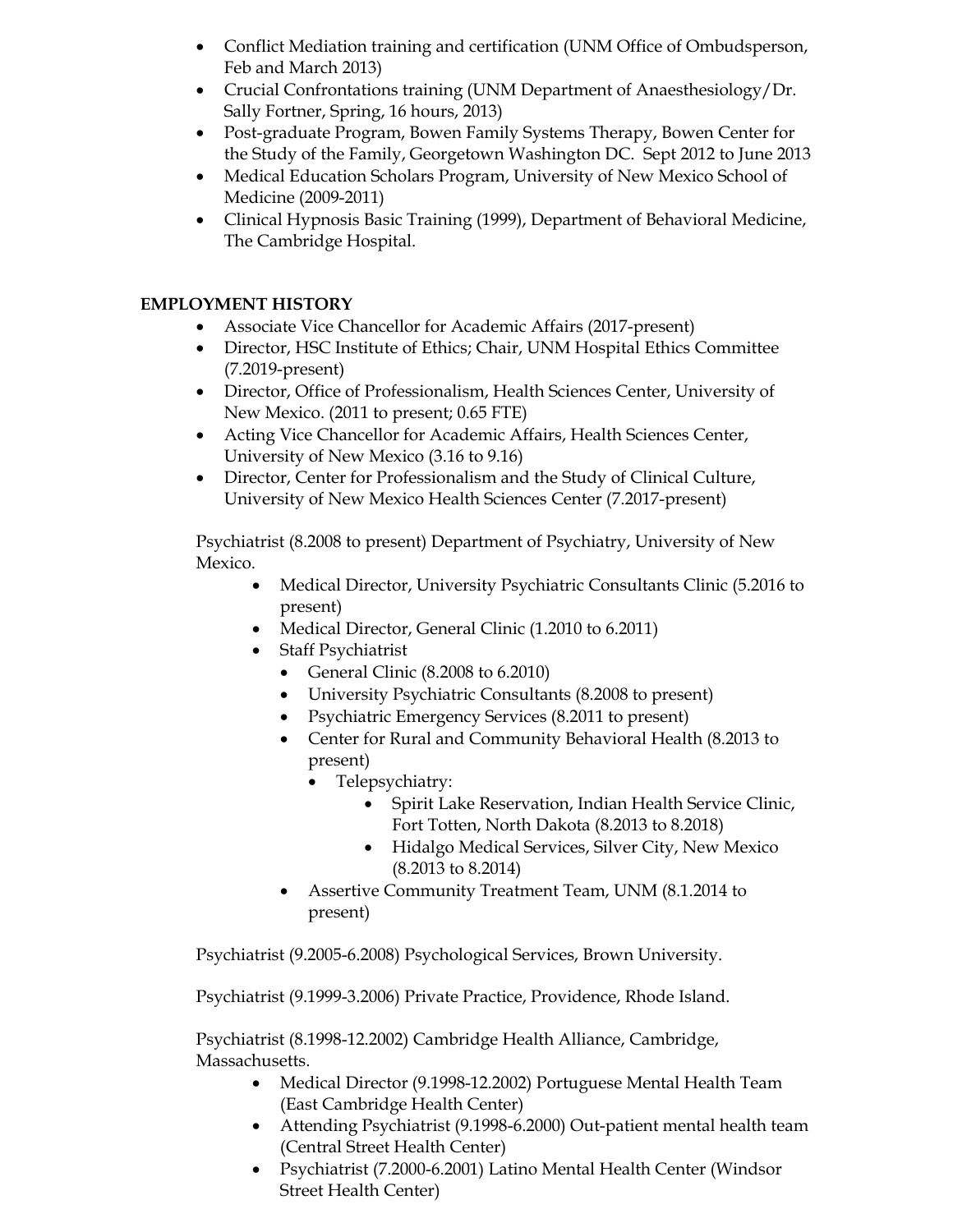- Conflict Mediation training and certification (UNM Office of Ombudsperson, Feb and March 2013)
- Crucial Confrontations training (UNM Department of Anaesthesiology/Dr. Sally Fortner, Spring, 16 hours, 2013)
- Post-graduate Program, Bowen Family Systems Therapy, Bowen Center for the Study of the Family, Georgetown Washington DC. Sept 2012 to June 2013
- Medical Education Scholars Program, University of New Mexico School of Medicine (2009-2011)
- Clinical Hypnosis Basic Training (1999), Department of Behavioral Medicine, The Cambridge Hospital.

## **EMPLOYMENT HISTORY**

- Associate Vice Chancellor for Academic Affairs (2017-present)
- Director, HSC Institute of Ethics; Chair, UNM Hospital Ethics Committee (7.2019-present)
- Director, Office of Professionalism, Health Sciences Center, University of New Mexico. (2011 to present; 0.65 FTE)
- Acting Vice Chancellor for Academic Affairs, Health Sciences Center, University of New Mexico (3.16 to 9.16)
- Director, Center for Professionalism and the Study of Clinical Culture, University of New Mexico Health Sciences Center (7.2017-present)

Psychiatrist (8.2008 to present) Department of Psychiatry, University of New Mexico.

- Medical Director, University Psychiatric Consultants Clinic (5.2016 to present)
- Medical Director, General Clinic (1.2010 to 6.2011)
- Staff Psychiatrist
	- General Clinic (8.2008 to 6.2010)
	- University Psychiatric Consultants (8.2008 to present)
	- Psychiatric Emergency Services (8.2011 to present)
	- Center for Rural and Community Behavioral Health (8.2013 to present)
		- Telepsychiatry:
			- Spirit Lake Reservation, Indian Health Service Clinic, Fort Totten, North Dakota (8.2013 to 8.2018)
			- Hidalgo Medical Services, Silver City, New Mexico (8.2013 to 8.2014)
	- Assertive Community Treatment Team, UNM (8.1.2014 to present)

Psychiatrist (9.2005-6.2008) Psychological Services, Brown University.

Psychiatrist (9.1999-3.2006) Private Practice, Providence, Rhode Island.

Psychiatrist (8.1998-12.2002) Cambridge Health Alliance, Cambridge, Massachusetts.

- Medical Director (9.1998-12.2002) Portuguese Mental Health Team (East Cambridge Health Center)
- Attending Psychiatrist (9.1998-6.2000) Out-patient mental health team (Central Street Health Center)
- Psychiatrist (7.2000-6.2001) Latino Mental Health Center (Windsor Street Health Center)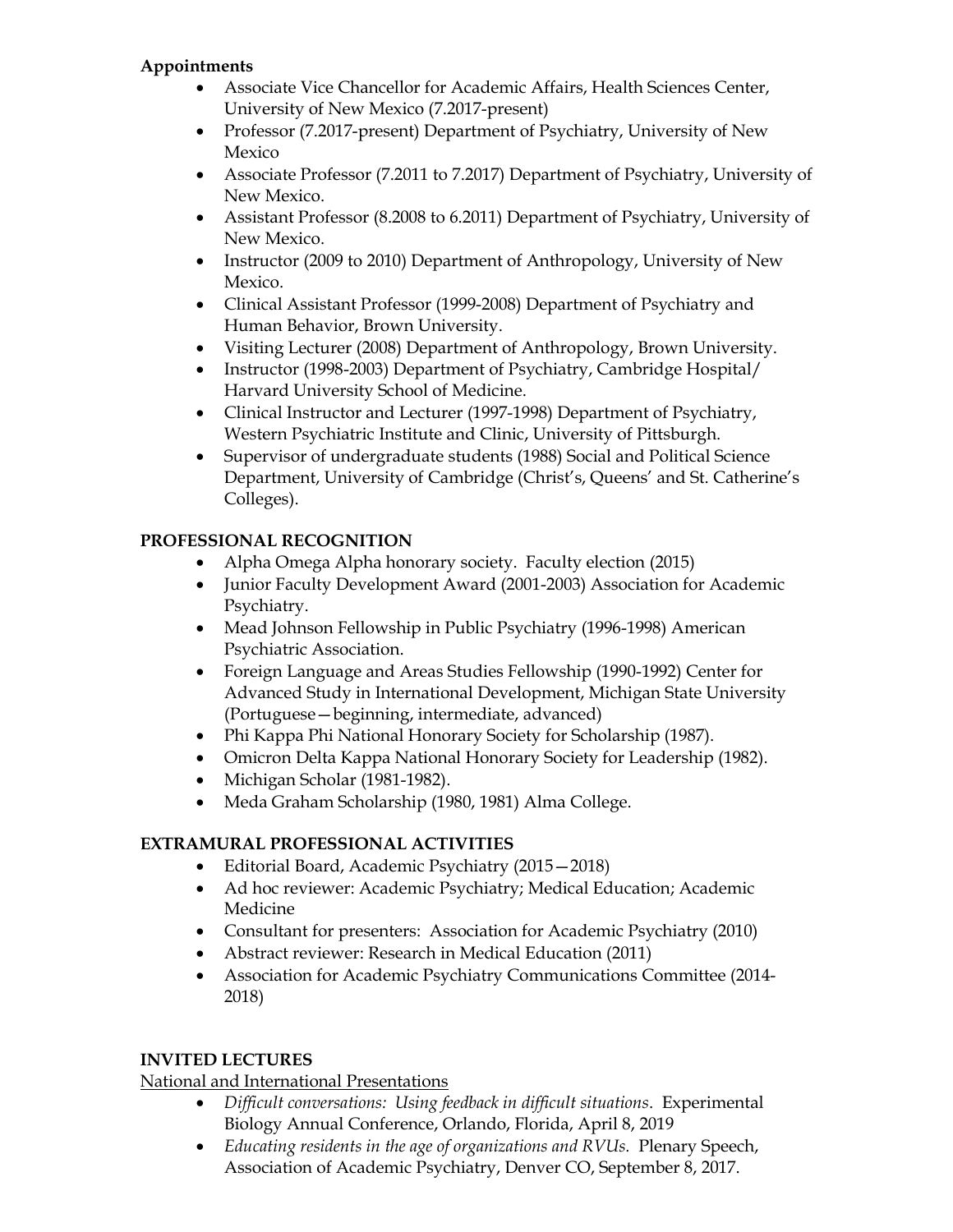## **Appointments**

- Associate Vice Chancellor for Academic Affairs, Health Sciences Center, University of New Mexico (7.2017-present)
- Professor (7.2017-present) Department of Psychiatry, University of New Mexico
- Associate Professor (7.2011 to 7.2017) Department of Psychiatry, University of New Mexico.
- Assistant Professor (8.2008 to 6.2011) Department of Psychiatry, University of New Mexico.
- Instructor (2009 to 2010) Department of Anthropology, University of New Mexico.
- Clinical Assistant Professor (1999-2008) Department of Psychiatry and Human Behavior, Brown University.
- Visiting Lecturer (2008) Department of Anthropology, Brown University.
- Instructor (1998-2003) Department of Psychiatry, Cambridge Hospital/ Harvard University School of Medicine.
- Clinical Instructor and Lecturer (1997-1998) Department of Psychiatry, Western Psychiatric Institute and Clinic, University of Pittsburgh.
- Supervisor of undergraduate students (1988) Social and Political Science Department, University of Cambridge (Christ's, Queens' and St. Catherine's Colleges).

# **PROFESSIONAL RECOGNITION**

- Alpha Omega Alpha honorary society. Faculty election (2015)
- Junior Faculty Development Award (2001-2003) Association for Academic Psychiatry.
- Mead Johnson Fellowship in Public Psychiatry (1996-1998) American Psychiatric Association.
- Foreign Language and Areas Studies Fellowship (1990-1992) Center for Advanced Study in International Development, Michigan State University (Portuguese—beginning, intermediate, advanced)
- Phi Kappa Phi National Honorary Society for Scholarship (1987).
- Omicron Delta Kappa National Honorary Society for Leadership (1982).
- Michigan Scholar (1981-1982).
- Meda Graham Scholarship (1980, 1981) Alma College.

# **EXTRAMURAL PROFESSIONAL ACTIVITIES**

- Editorial Board, Academic Psychiatry (2015—2018)
- Ad hoc reviewer: Academic Psychiatry; Medical Education; Academic Medicine
- Consultant for presenters: Association for Academic Psychiatry (2010)
- Abstract reviewer: Research in Medical Education (2011)
- Association for Academic Psychiatry Communications Committee (2014- 2018)

# **INVITED LECTURES**

# National and International Presentations

- *Difficult conversations: Using feedback in difficult situations*. Experimental Biology Annual Conference, Orlando, Florida, April 8, 2019
- *Educating residents in the age of organizations and RVUs.* Plenary Speech, Association of Academic Psychiatry, Denver CO, September 8, 2017.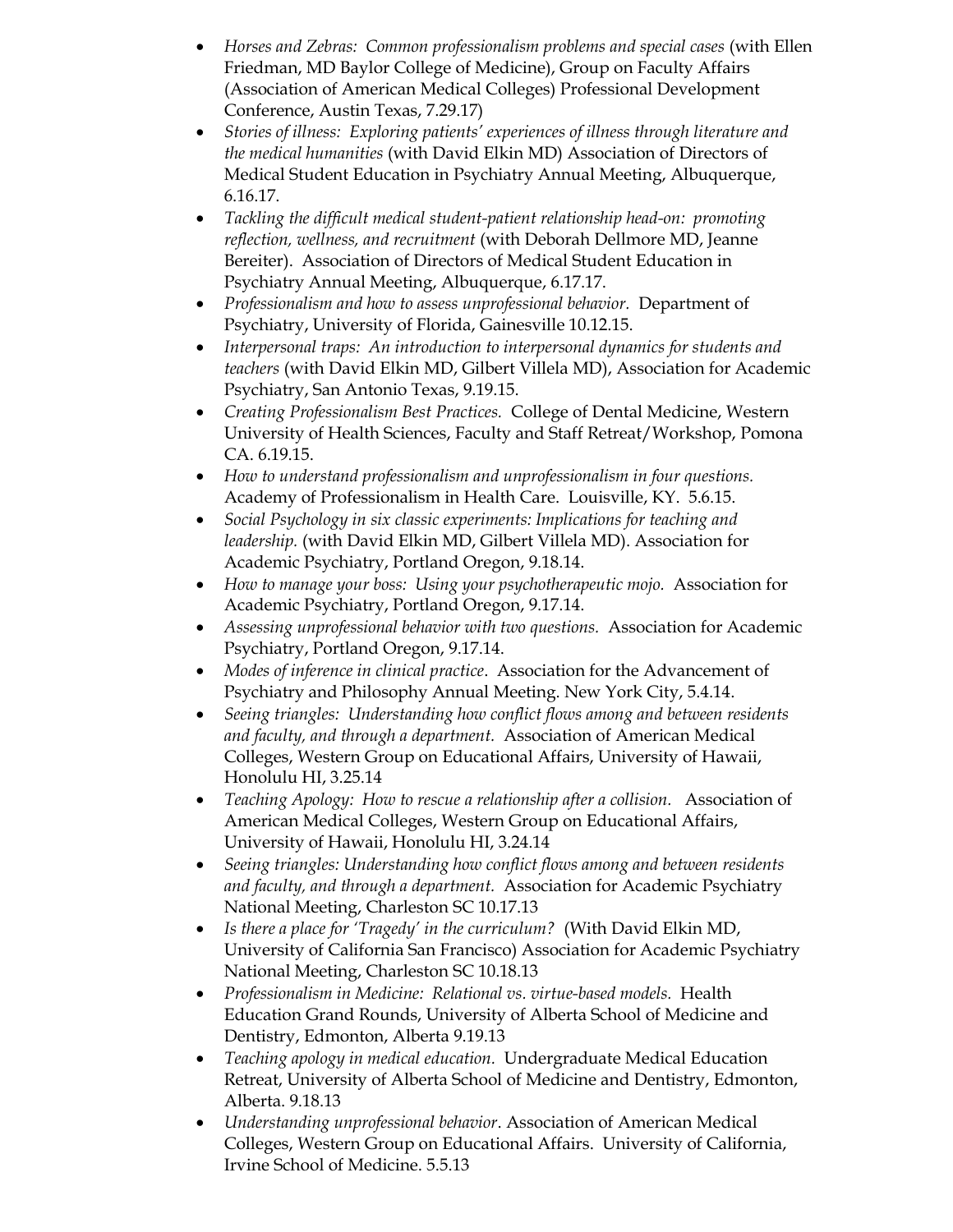- *Horses and Zebras: Common professionalism problems and special cases* (with Ellen Friedman, MD Baylor College of Medicine), Group on Faculty Affairs (Association of American Medical Colleges) Professional Development Conference, Austin Texas, 7.29.17)
- *Stories of illness: Exploring patients' experiences of illness through literature and the medical humanities* (with David Elkin MD) Association of Directors of Medical Student Education in Psychiatry Annual Meeting, Albuquerque, 6.16.17.
- *Tackling the difficult medical student-patient relationship head-on: promoting reflection, wellness, and recruitment* (with Deborah Dellmore MD, Jeanne Bereiter). Association of Directors of Medical Student Education in Psychiatry Annual Meeting, Albuquerque, 6.17.17.
- *Professionalism and how to assess unprofessional behavior.* Department of Psychiatry, University of Florida, Gainesville 10.12.15.
- *Interpersonal traps: An introduction to interpersonal dynamics for students and teachers* (with David Elkin MD, Gilbert Villela MD), Association for Academic Psychiatry, San Antonio Texas, 9.19.15.
- *Creating Professionalism Best Practices.* College of Dental Medicine, Western University of Health Sciences, Faculty and Staff Retreat/Workshop, Pomona CA. 6.19.15.
- *How to understand professionalism and unprofessionalism in four questions.* Academy of Professionalism in Health Care. Louisville, KY. 5.6.15.
- *Social Psychology in six classic experiments: Implications for teaching and leadership.* (with David Elkin MD, Gilbert Villela MD). Association for Academic Psychiatry, Portland Oregon, 9.18.14.
- *How to manage your boss: Using your psychotherapeutic mojo.* Association for Academic Psychiatry, Portland Oregon, 9.17.14.
- *Assessing unprofessional behavior with two questions.* Association for Academic Psychiatry, Portland Oregon, 9.17.14.
- *Modes of inference in clinical practice*. Association for the Advancement of Psychiatry and Philosophy Annual Meeting. New York City, 5.4.14.
- *Seeing triangles: Understanding how conflict flows among and between residents and faculty, and through a department.* Association of American Medical Colleges, Western Group on Educational Affairs, University of Hawaii, Honolulu HI, 3.25.14
- *Teaching Apology: How to rescue a relationship after a collision.* Association of American Medical Colleges, Western Group on Educational Affairs, University of Hawaii, Honolulu HI, 3.24.14
- *Seeing triangles: Understanding how conflict flows among and between residents and faculty, and through a department.* Association for Academic Psychiatry National Meeting, Charleston SC 10.17.13
- *Is there a place for 'Tragedy' in the curriculum?* (With David Elkin MD, University of California San Francisco) Association for Academic Psychiatry National Meeting, Charleston SC 10.18.13
- *Professionalism in Medicine: Relational vs. virtue-based models.* Health Education Grand Rounds, University of Alberta School of Medicine and Dentistry, Edmonton, Alberta 9.19.13
- *Teaching apology in medical education.* Undergraduate Medical Education Retreat, University of Alberta School of Medicine and Dentistry, Edmonton, Alberta. 9.18.13
- *Understanding unprofessional behavior*. Association of American Medical Colleges, Western Group on Educational Affairs. University of California, Irvine School of Medicine. 5.5.13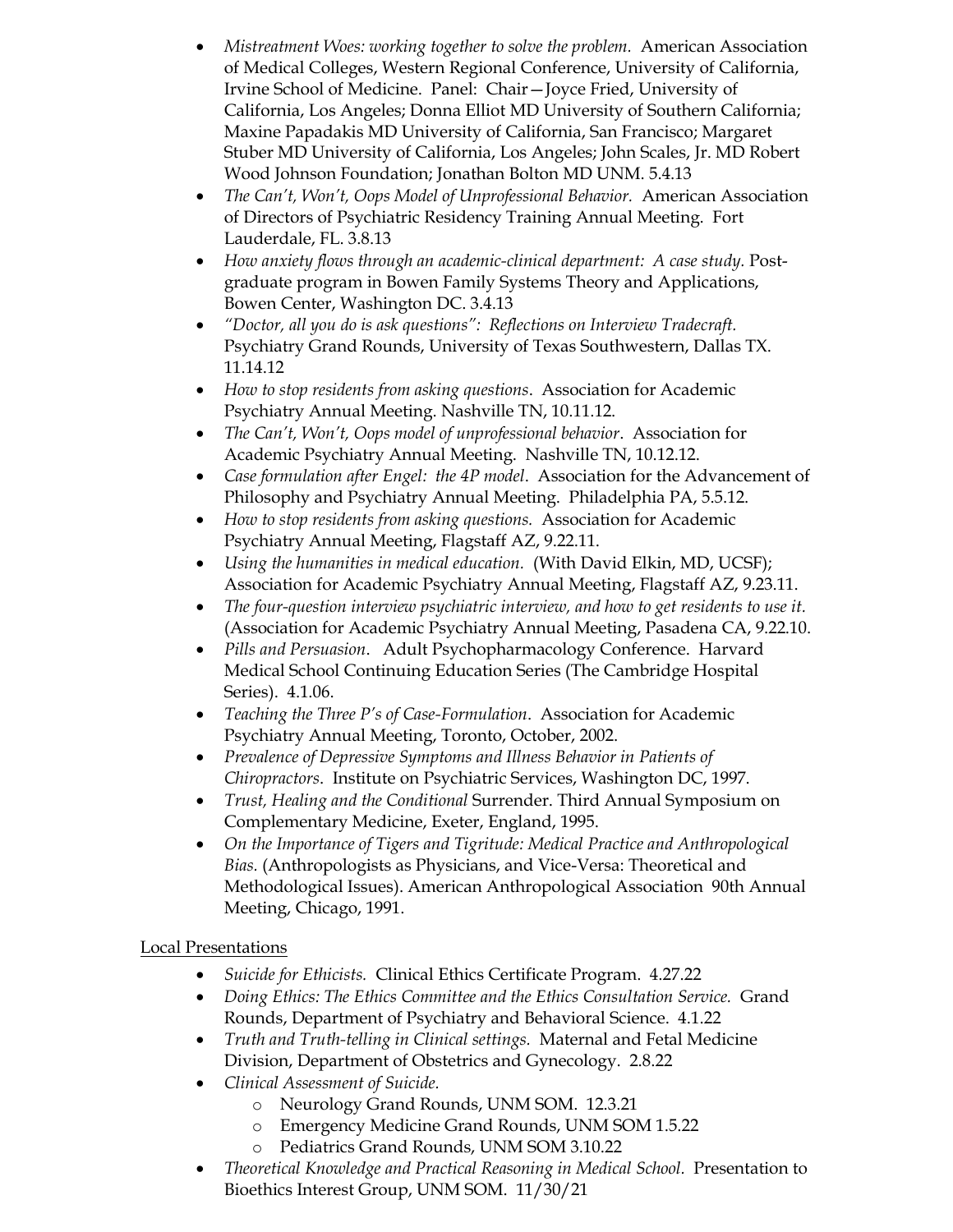- *Mistreatment Woes: working together to solve the problem.* American Association of Medical Colleges, Western Regional Conference, University of California, Irvine School of Medicine. Panel: Chair—Joyce Fried, University of California, Los Angeles; Donna Elliot MD University of Southern California; Maxine Papadakis MD University of California, San Francisco; Margaret Stuber MD University of California, Los Angeles; John Scales, Jr. MD Robert Wood Johnson Foundation; Jonathan Bolton MD UNM. 5.4.13
- *The Can't, Won't, Oops Model of Unprofessional Behavior.* American Association of Directors of Psychiatric Residency Training Annual Meeting. Fort Lauderdale, FL. 3.8.13
- *How anxiety flows through an academic-clinical department: A case study.* Postgraduate program in Bowen Family Systems Theory and Applications, Bowen Center, Washington DC. 3.4.13
- *"Doctor, all you do is ask questions": Reflections on Interview Tradecraft.* Psychiatry Grand Rounds, University of Texas Southwestern, Dallas TX. 11.14.12
- *How to stop residents from asking questions*. Association for Academic Psychiatry Annual Meeting. Nashville TN, 10.11.12.
- *The Can't, Won't, Oops model of unprofessional behavior*. Association for Academic Psychiatry Annual Meeting. Nashville TN, 10.12.12.
- *Case formulation after Engel: the 4P model*. Association for the Advancement of Philosophy and Psychiatry Annual Meeting. Philadelphia PA, 5.5.12.
- *How to stop residents from asking questions.* Association for Academic Psychiatry Annual Meeting, Flagstaff AZ, 9.22.11.
- *Using the humanities in medical education.* (With David Elkin, MD, UCSF); Association for Academic Psychiatry Annual Meeting, Flagstaff AZ, 9.23.11.
- *The four-question interview psychiatric interview, and how to get residents to use it.* (Association for Academic Psychiatry Annual Meeting, Pasadena CA, 9.22.10.
- *Pills and Persuasion*. Adult Psychopharmacology Conference. Harvard Medical School Continuing Education Series (The Cambridge Hospital Series). 4.1.06.
- *Teaching the Three P's of Case-Formulation*. Association for Academic Psychiatry Annual Meeting, Toronto, October, 2002.
- *Prevalence of Depressive Symptoms and Illness Behavior in Patients of Chiropractors*. Institute on Psychiatric Services, Washington DC, 1997.
- *Trust, Healing and the Conditional* Surrender. Third Annual Symposium on Complementary Medicine, Exeter, England, 1995.
- *On the Importance of Tigers and Tigritude: Medical Practice and Anthropological Bias.* (Anthropologists as Physicians, and Vice-Versa: Theoretical and Methodological Issues). American Anthropological Association 90th Annual Meeting, Chicago, 1991.

# Local Presentations

- *Suicide for Ethicists.* Clinical Ethics Certificate Program. 4.27.22
- *Doing Ethics: The Ethics Committee and the Ethics Consultation Service.* Grand Rounds, Department of Psychiatry and Behavioral Science. 4.1.22
- *Truth and Truth-telling in Clinical settings.* Maternal and Fetal Medicine Division, Department of Obstetrics and Gynecology. 2.8.22
- *Clinical Assessment of Suicide.*
	- o Neurology Grand Rounds, UNM SOM. 12.3.21
	- o Emergency Medicine Grand Rounds, UNM SOM 1.5.22
	- o Pediatrics Grand Rounds, UNM SOM 3.10.22
- *Theoretical Knowledge and Practical Reasoning in Medical School.* Presentation to Bioethics Interest Group, UNM SOM. 11/30/21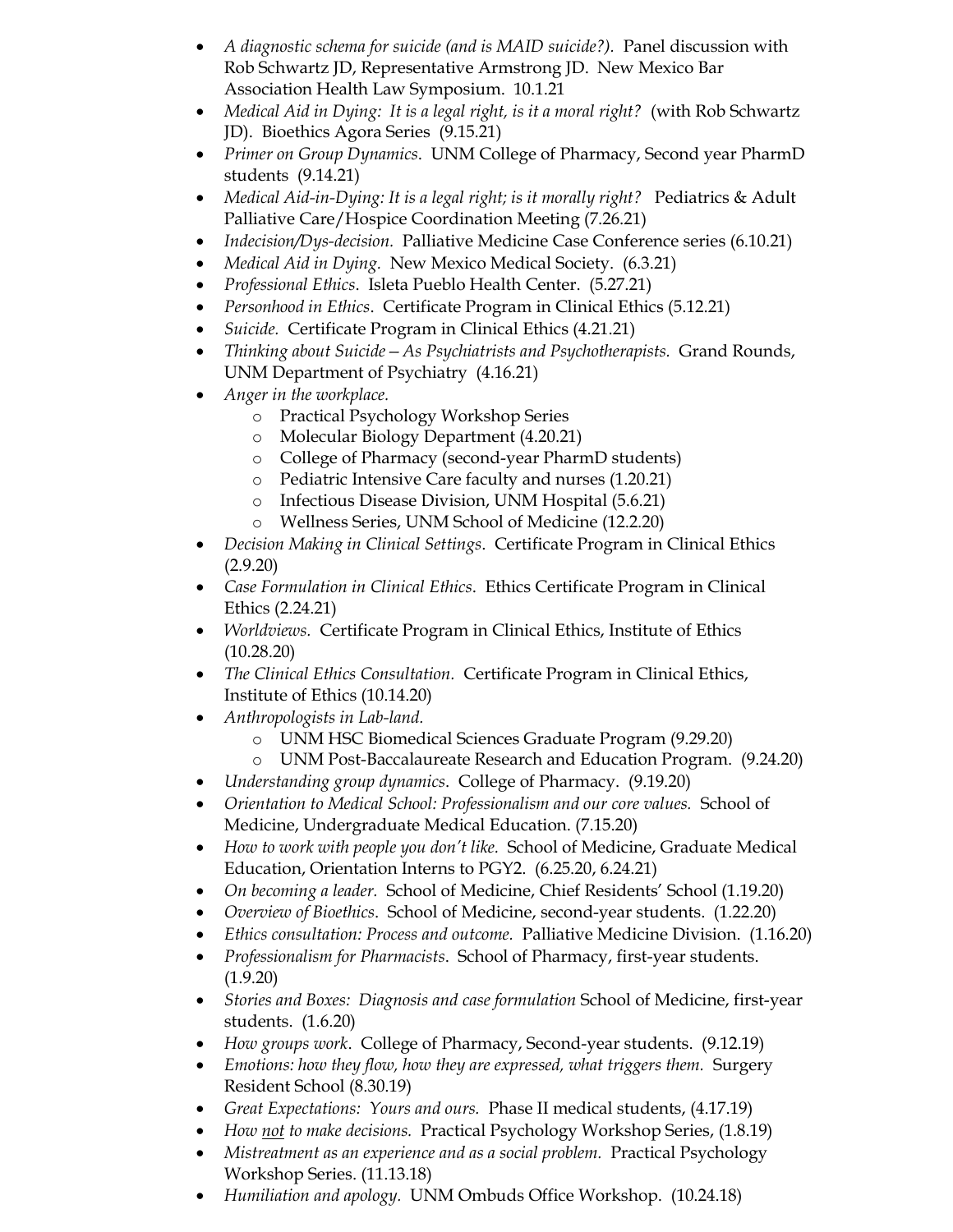- *A diagnostic schema for suicide (and is MAID suicide?).* Panel discussion with Rob Schwartz JD, Representative Armstrong JD. New Mexico Bar Association Health Law Symposium. 10.1.21
- *Medical Aid in Dying: It is a legal right, is it a moral right?* (with Rob Schwartz JD). Bioethics Agora Series (9.15.21)
- *Primer on Group Dynamics*. UNM College of Pharmacy, Second year PharmD students (9.14.21)
- *Medical Aid-in-Dying: It is a legal right; is it morally right?* Pediatrics & Adult Palliative Care/Hospice Coordination Meeting (7.26.21)
- *Indecision/Dys-decision.* Palliative Medicine Case Conference series (6.10.21)
- *Medical Aid in Dying.* New Mexico Medical Society. (6.3.21)
- *Professional Ethics*. Isleta Pueblo Health Center. (5.27.21)
- *Personhood in Ethics*. Certificate Program in Clinical Ethics (5.12.21)
- *Suicide.* Certificate Program in Clinical Ethics (4.21.21)
- *Thinking about Suicide—As Psychiatrists and Psychotherapists.* Grand Rounds, UNM Department of Psychiatry (4.16.21)
- *Anger in the workplace.*
	- o Practical Psychology Workshop Series
	- o Molecular Biology Department (4.20.21)
	- o College of Pharmacy (second-year PharmD students)
	- o Pediatric Intensive Care faculty and nurses (1.20.21)
	- o Infectious Disease Division, UNM Hospital (5.6.21)
	- o Wellness Series, UNM School of Medicine (12.2.20)
- *Decision Making in Clinical Settings*. Certificate Program in Clinical Ethics (2.9.20)
- *Case Formulation in Clinical Ethics*. Ethics Certificate Program in Clinical Ethics (2.24.21)
- *Worldviews.* Certificate Program in Clinical Ethics, Institute of Ethics (10.28.20)
- *The Clinical Ethics Consultation.* Certificate Program in Clinical Ethics, Institute of Ethics (10.14.20)
- *Anthropologists in Lab-land.*
	- o UNM HSC Biomedical Sciences Graduate Program (9.29.20)
	- o UNM Post-Baccalaureate Research and Education Program. (9.24.20)
- *Understanding group dynamics*. College of Pharmacy. (9.19.20)
- *Orientation to Medical School: Professionalism and our core values.* School of Medicine, Undergraduate Medical Education. (7.15.20)
- *How to work with people you don't like.* School of Medicine, Graduate Medical Education, Orientation Interns to PGY2. (6.25.20, 6.24.21)
- *On becoming a leader.* School of Medicine, Chief Residents' School (1.19.20)
- *Overview of Bioethics*. School of Medicine, second-year students. (1.22.20)
- *Ethics consultation: Process and outcome.* Palliative Medicine Division. (1.16.20)
- *Professionalism for Pharmacists*. School of Pharmacy, first-year students. (1.9.20)
- *Stories and Boxes: Diagnosis and case formulation* School of Medicine, first-year students. (1.6.20)
- *How groups work*. College of Pharmacy, Second-year students. (9.12.19)
- *Emotions: how they flow, how they are expressed, what triggers them.* Surgery Resident School (8.30.19)
- *Great Expectations: Yours and ours.* Phase II medical students, (4.17.19)
- *How not to make decisions.* Practical Psychology Workshop Series, (1.8.19)
- *Mistreatment as an experience and as a social problem.* Practical Psychology Workshop Series. (11.13.18)
- *Humiliation and apology.* UNM Ombuds Office Workshop. (10.24.18)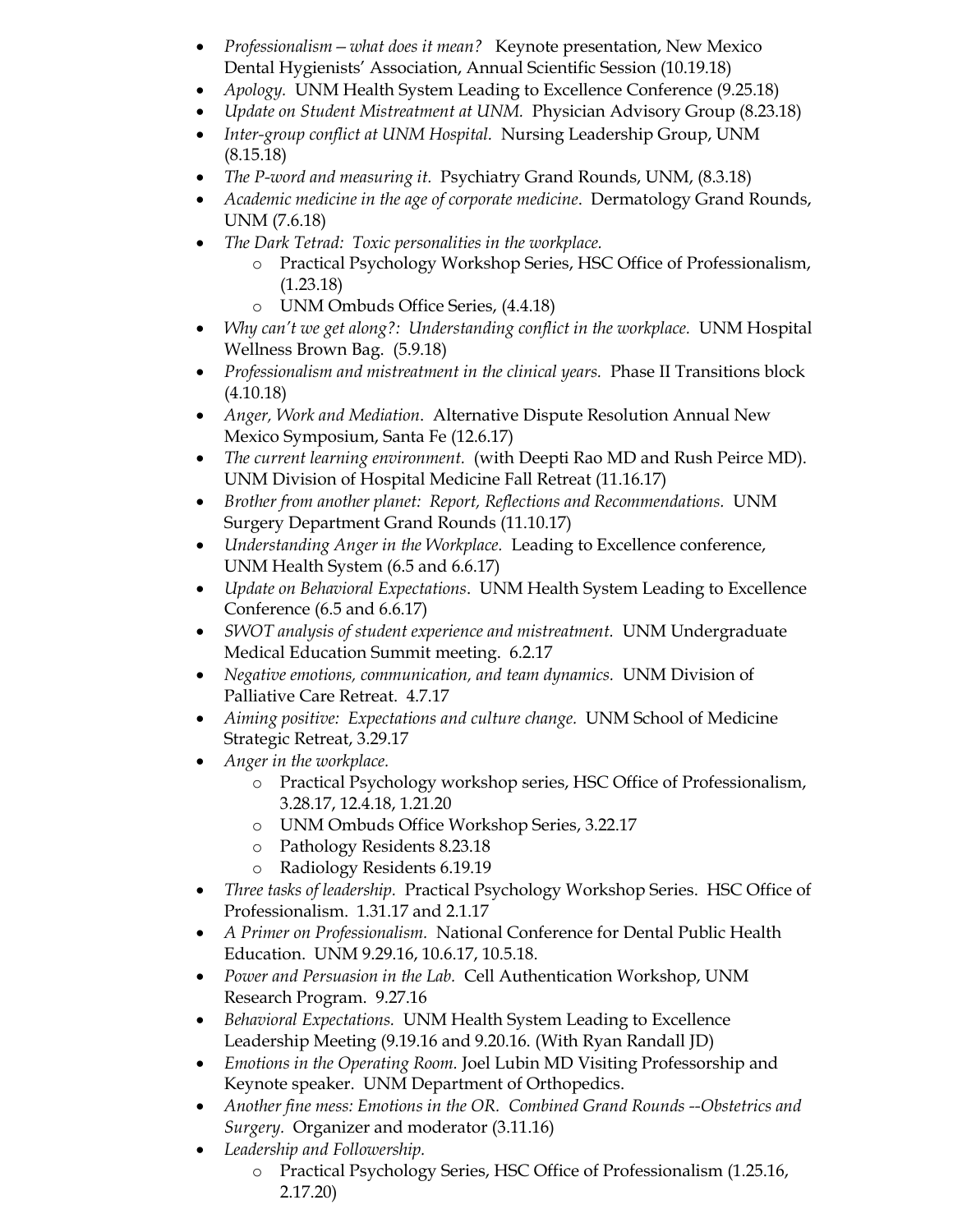- *Professionalism—what does it mean?* Keynote presentation, New Mexico Dental Hygienists' Association, Annual Scientific Session (10.19.18)
- *Apology.* UNM Health System Leading to Excellence Conference (9.25.18)
- *Update on Student Mistreatment at UNM.* Physician Advisory Group (8.23.18)
- *Inter-group conflict at UNM Hospital.* Nursing Leadership Group, UNM (8.15.18)
- *The P-word and measuring it.* Psychiatry Grand Rounds, UNM, (8.3.18)
- *Academic medicine in the age of corporate medicine*. Dermatology Grand Rounds, UNM (7.6.18)
- *The Dark Tetrad: Toxic personalities in the workplace.*
	- o Practical Psychology Workshop Series, HSC Office of Professionalism, (1.23.18)
	- o UNM Ombuds Office Series, (4.4.18)
- *Why can't we get along?: Understanding conflict in the workplace.* UNM Hospital Wellness Brown Bag. (5.9.18)
- *Professionalism and mistreatment in the clinical years.* Phase II Transitions block (4.10.18)
- *Anger, Work and Mediation*. Alternative Dispute Resolution Annual New Mexico Symposium, Santa Fe (12.6.17)
- *The current learning environment.* (with Deepti Rao MD and Rush Peirce MD). UNM Division of Hospital Medicine Fall Retreat (11.16.17)
- *Brother from another planet: Report, Reflections and Recommendations.* UNM Surgery Department Grand Rounds (11.10.17)
- *Understanding Anger in the Workplace.* Leading to Excellence conference, UNM Health System (6.5 and 6.6.17)
- *Update on Behavioral Expectations*. UNM Health System Leading to Excellence Conference (6.5 and 6.6.17)
- *SWOT analysis of student experience and mistreatment.* UNM Undergraduate Medical Education Summit meeting. 6.2.17
- *Negative emotions, communication, and team dynamics.* UNM Division of Palliative Care Retreat. 4.7.17
- *Aiming positive: Expectations and culture change.* UNM School of Medicine Strategic Retreat, 3.29.17
- *Anger in the workplace.*
	- o Practical Psychology workshop series, HSC Office of Professionalism, 3.28.17, 12.4.18, 1.21.20
	- o UNM Ombuds Office Workshop Series, 3.22.17
	- o Pathology Residents 8.23.18
	- o Radiology Residents 6.19.19
- *Three tasks of leadership.* Practical Psychology Workshop Series. HSC Office of Professionalism. 1.31.17 and 2.1.17
- *A Primer on Professionalism.* National Conference for Dental Public Health Education. UNM 9.29.16, 10.6.17, 10.5.18.
- *Power and Persuasion in the Lab.* Cell Authentication Workshop, UNM Research Program. 9.27.16
- *Behavioral Expectations.* UNM Health System Leading to Excellence Leadership Meeting (9.19.16 and 9.20.16. (With Ryan Randall JD)
- *Emotions in the Operating Room.* Joel Lubin MD Visiting Professorship and Keynote speaker. UNM Department of Orthopedics.
- *Another fine mess: Emotions in the OR. Combined Grand Rounds --Obstetrics and Surgery.* Organizer and moderator (3.11.16)
- *Leadership and Followership.*
	- o Practical Psychology Series, HSC Office of Professionalism (1.25.16, 2.17.20)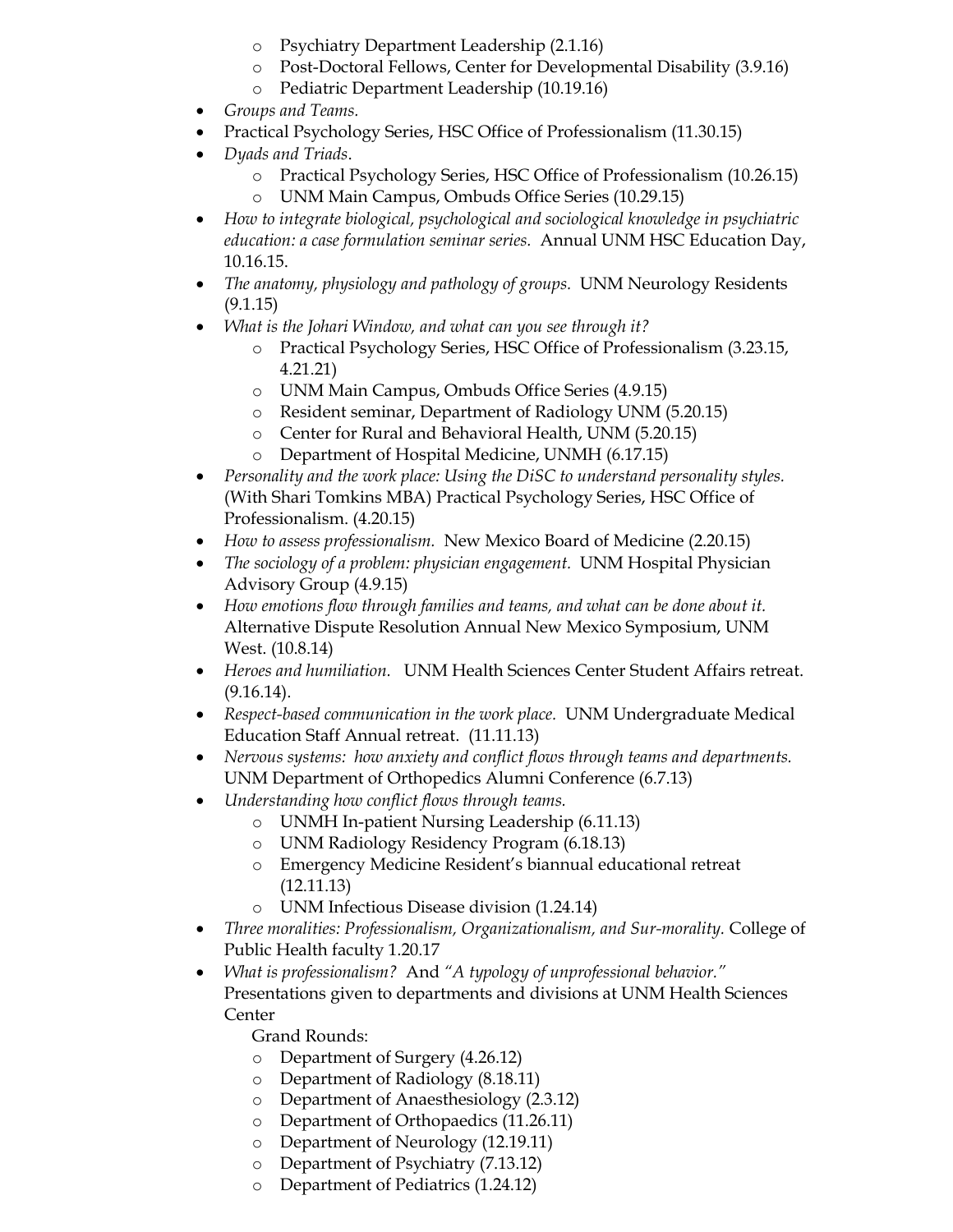- o Psychiatry Department Leadership (2.1.16)
- o Post-Doctoral Fellows, Center for Developmental Disability (3.9.16)
- o Pediatric Department Leadership (10.19.16)
- *Groups and Teams.*
- Practical Psychology Series, HSC Office of Professionalism (11.30.15)
- *Dyads and Triads*.
	- o Practical Psychology Series, HSC Office of Professionalism (10.26.15)
	- o UNM Main Campus, Ombuds Office Series (10.29.15)
- *How to integrate biological, psychological and sociological knowledge in psychiatric education: a case formulation seminar series.* Annual UNM HSC Education Day, 10.16.15.
- *The anatomy, physiology and pathology of groups.* UNM Neurology Residents (9.1.15)
- *What is the Johari Window, and what can you see through it?*
	- o Practical Psychology Series, HSC Office of Professionalism (3.23.15, 4.21.21)
	- o UNM Main Campus, Ombuds Office Series (4.9.15)
	- o Resident seminar, Department of Radiology UNM (5.20.15)
	- o Center for Rural and Behavioral Health, UNM (5.20.15)
	- o Department of Hospital Medicine, UNMH (6.17.15)
- *Personality and the work place: Using the DiSC to understand personality styles.*  (With Shari Tomkins MBA) Practical Psychology Series, HSC Office of Professionalism. (4.20.15)
- *How to assess professionalism.* New Mexico Board of Medicine (2.20.15)
- *The sociology of a problem: physician engagement.* UNM Hospital Physician Advisory Group (4.9.15)
- *How emotions flow through families and teams, and what can be done about it.* Alternative Dispute Resolution Annual New Mexico Symposium, UNM West. (10.8.14)
- *Heroes and humiliation.* UNM Health Sciences Center Student Affairs retreat. (9.16.14).
- *Respect-based communication in the work place.* UNM Undergraduate Medical Education Staff Annual retreat. (11.11.13)
- *Nervous systems: how anxiety and conflict flows through teams and departments.* UNM Department of Orthopedics Alumni Conference (6.7.13)
- *Understanding how conflict flows through teams.*
	- o UNMH In-patient Nursing Leadership (6.11.13)
	- o UNM Radiology Residency Program (6.18.13)
	- Emergency Medicine Resident's biannual educational retreat (12.11.13)
	- o UNM Infectious Disease division (1.24.14)
- *Three moralities: Professionalism, Organizationalism, and Sur-morality.* College of Public Health faculty 1.20.17
- *What is professionalism?* And *"A typology of unprofessional behavior."*  Presentations given to departments and divisions at UNM Health Sciences Center

Grand Rounds:

- o Department of Surgery (4.26.12)
- o Department of Radiology (8.18.11)
- o Department of Anaesthesiology (2.3.12)
- o Department of Orthopaedics (11.26.11)
- o Department of Neurology (12.19.11)
- o Department of Psychiatry (7.13.12)
- o Department of Pediatrics (1.24.12)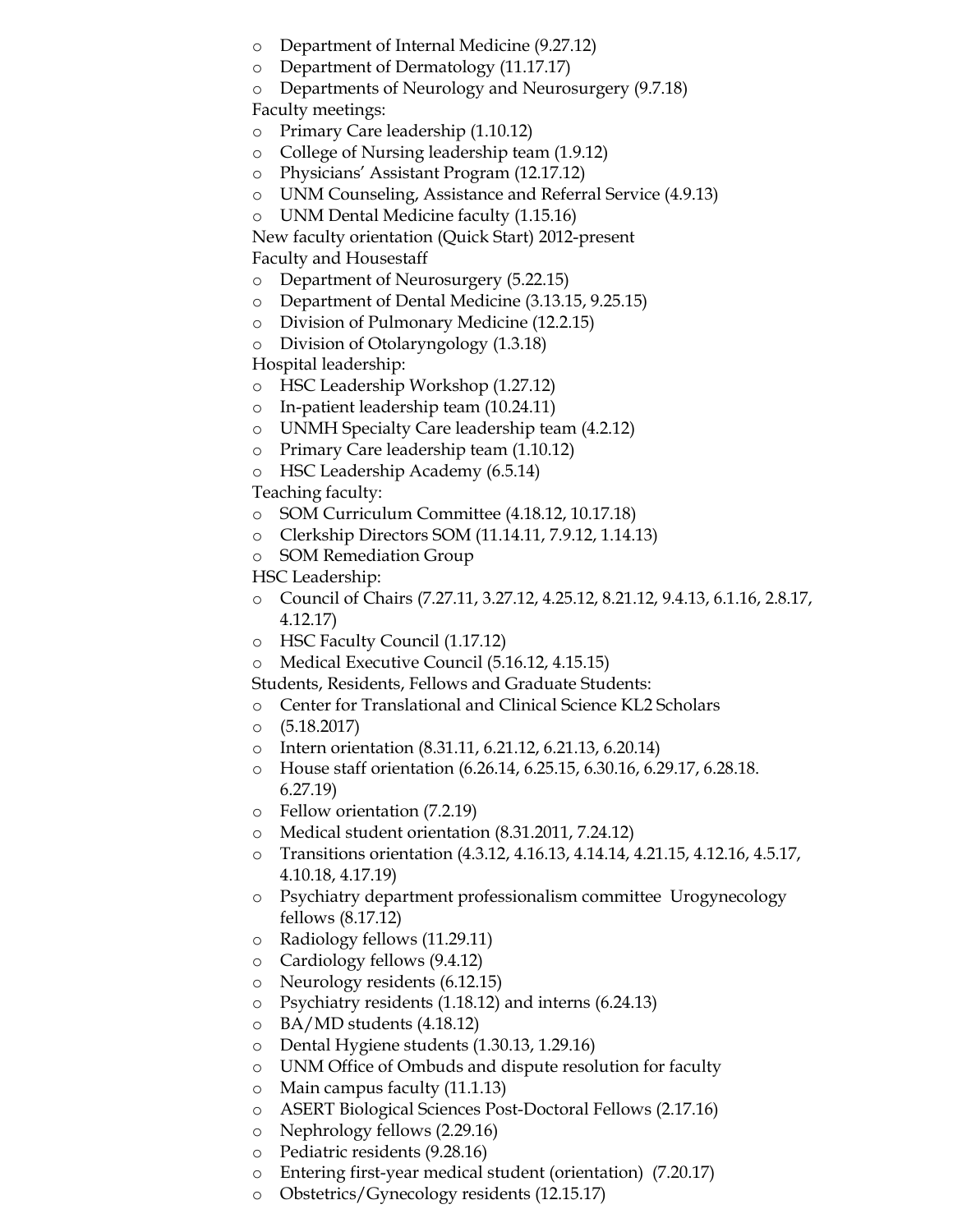- o Department of Internal Medicine (9.27.12)
- o Department of Dermatology (11.17.17)
- o Departments of Neurology and Neurosurgery (9.7.18)

Faculty meetings:

- o Primary Care leadership (1.10.12)
- o College of Nursing leadership team (1.9.12)
- o Physicians' Assistant Program (12.17.12)
- o UNM Counseling, Assistance and Referral Service (4.9.13)
- o UNM Dental Medicine faculty (1.15.16)

New faculty orientation (Quick Start) 2012-present Faculty and Housestaff

- o Department of Neurosurgery (5.22.15)
- o Department of Dental Medicine (3.13.15, 9.25.15)
- o Division of Pulmonary Medicine (12.2.15)
- o Division of Otolaryngology (1.3.18)

Hospital leadership:

- o HSC Leadership Workshop (1.27.12)
- o In-patient leadership team (10.24.11)
- o UNMH Specialty Care leadership team (4.2.12)
- o Primary Care leadership team (1.10.12)
- o HSC Leadership Academy (6.5.14)

Teaching faculty:

- o SOM Curriculum Committee (4.18.12, 10.17.18)
- o Clerkship Directors SOM (11.14.11, 7.9.12, 1.14.13)
- o SOM Remediation Group

HSC Leadership:

- o Council of Chairs (7.27.11, 3.27.12, 4.25.12, 8.21.12, 9.4.13, 6.1.16, 2.8.17, 4.12.17)
- o HSC Faculty Council (1.17.12)
- o Medical Executive Council (5.16.12, 4.15.15)
- Students, Residents, Fellows and Graduate Students:
- o Center for Translational and Clinical Science KL2 Scholars
- o (5.18.2017)
- o Intern orientation (8.31.11, 6.21.12, 6.21.13, 6.20.14)
- o House staff orientation (6.26.14, 6.25.15, 6.30.16, 6.29.17, 6.28.18. 6.27.19)
- o Fellow orientation (7.2.19)
- o Medical student orientation (8.31.2011, 7.24.12)
- o Transitions orientation (4.3.12, 4.16.13, 4.14.14, 4.21.15, 4.12.16, 4.5.17, 4.10.18, 4.17.19)
- o Psychiatry department professionalism committee Urogynecology fellows (8.17.12)
- o Radiology fellows (11.29.11)
- o Cardiology fellows (9.4.12)
- o Neurology residents (6.12.15)
- o Psychiatry residents (1.18.12) and interns (6.24.13)
- o BA/MD students (4.18.12)
- o Dental Hygiene students (1.30.13, 1.29.16)
- o UNM Office of Ombuds and dispute resolution for faculty
- o Main campus faculty (11.1.13)
- o ASERT Biological Sciences Post-Doctoral Fellows (2.17.16)
- o Nephrology fellows (2.29.16)
- o Pediatric residents (9.28.16)
- o Entering first-year medical student (orientation) (7.20.17)
- o Obstetrics/Gynecology residents (12.15.17)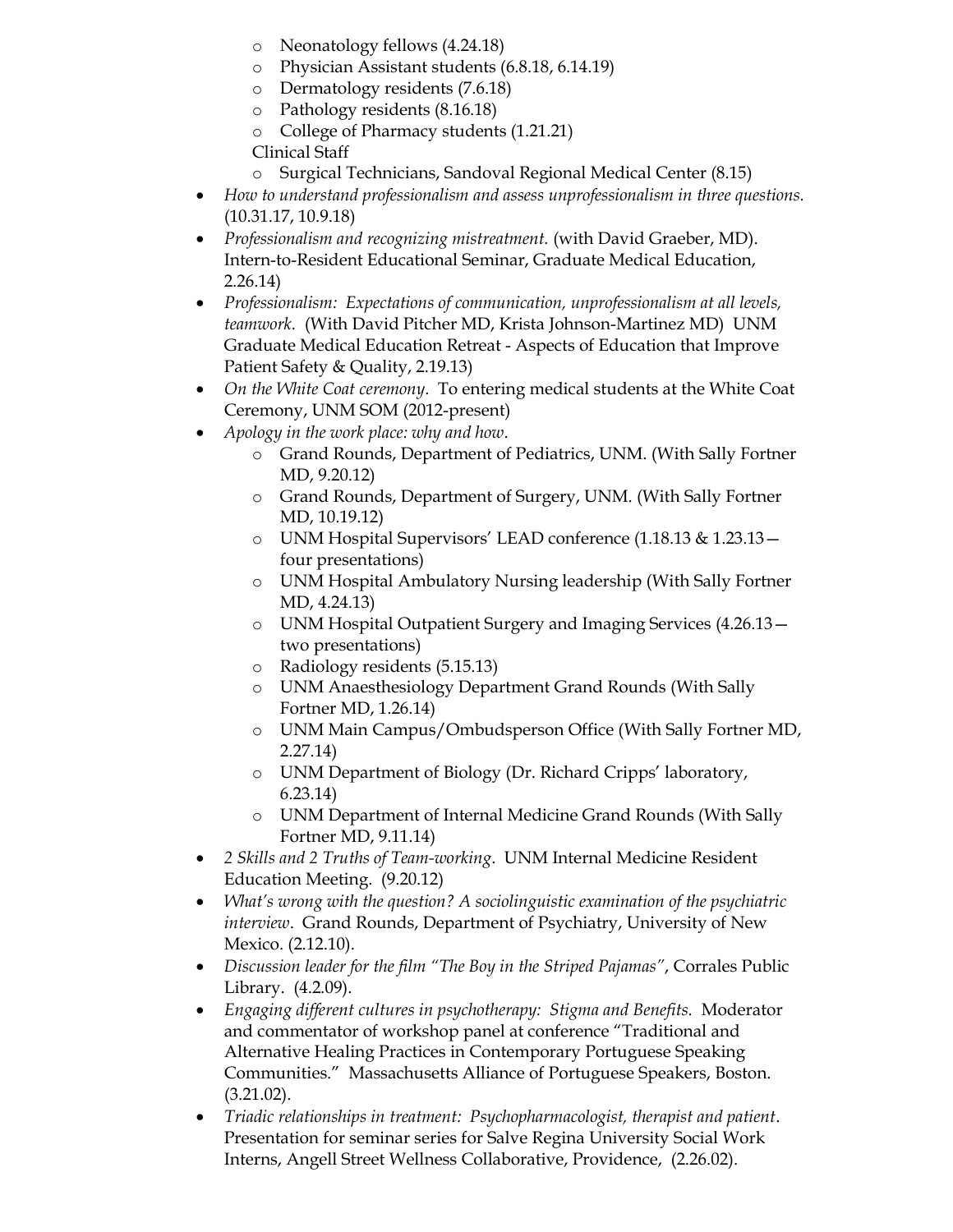- o Neonatology fellows (4.24.18)
- o Physician Assistant students (6.8.18, 6.14.19)
- o Dermatology residents (7.6.18)
- o Pathology residents (8.16.18)
- o College of Pharmacy students (1.21.21)
- Clinical Staff
- o Surgical Technicians, Sandoval Regional Medical Center (8.15)
- *How to understand professionalism and assess unprofessionalism in three questions.* (10.31.17, 10.9.18)
- *Professionalism and recognizing mistreatment.* (with David Graeber, MD). Intern-to-Resident Educational Seminar, Graduate Medical Education, 2.26.14)
- *Professionalism: Expectations of communication, unprofessionalism at all levels, teamwork.* (With David Pitcher MD, Krista Johnson-Martinez MD) UNM Graduate Medical Education Retreat - Aspects of Education that Improve Patient Safety & Quality, 2.19.13)
- *On the White Coat ceremony*. To entering medical students at the White Coat Ceremony, UNM SOM (2012-present)
- *Apology in the work place: why and how*.
	- o Grand Rounds, Department of Pediatrics, UNM. (With Sally Fortner MD, 9.20.12)
	- o Grand Rounds, Department of Surgery, UNM. (With Sally Fortner MD, 10.19.12)
	- o UNM Hospital Supervisors' LEAD conference (1.18.13 & 1.23.13 four presentations)
	- o UNM Hospital Ambulatory Nursing leadership (With Sally Fortner MD, 4.24.13)
	- o UNM Hospital Outpatient Surgery and Imaging Services (4.26.13 two presentations)
	- o Radiology residents (5.15.13)
	- o UNM Anaesthesiology Department Grand Rounds (With Sally Fortner MD, 1.26.14)
	- o UNM Main Campus/Ombudsperson Office (With Sally Fortner MD, 2.27.14)
	- o UNM Department of Biology (Dr. Richard Cripps' laboratory, 6.23.14)
	- o UNM Department of Internal Medicine Grand Rounds (With Sally Fortner MD, 9.11.14)
- *2 Skills and 2 Truths of Team-working*. UNM Internal Medicine Resident Education Meeting. (9.20.12)
- *What's wrong with the question? A sociolinguistic examination of the psychiatric interview*. Grand Rounds, Department of Psychiatry, University of New Mexico. (2.12.10).
- *Discussion leader for the film "The Boy in the Striped Pajamas"*, Corrales Public Library. (4.2.09).
- *Engaging different cultures in psychotherapy: Stigma and Benefits.* Moderator and commentator of workshop panel at conference "Traditional and Alternative Healing Practices in Contemporary Portuguese Speaking Communities." Massachusetts Alliance of Portuguese Speakers, Boston. (3.21.02).
- *Triadic relationships in treatment: Psychopharmacologist, therapist and patient*. Presentation for seminar series for Salve Regina University Social Work Interns, Angell Street Wellness Collaborative, Providence, (2.26.02).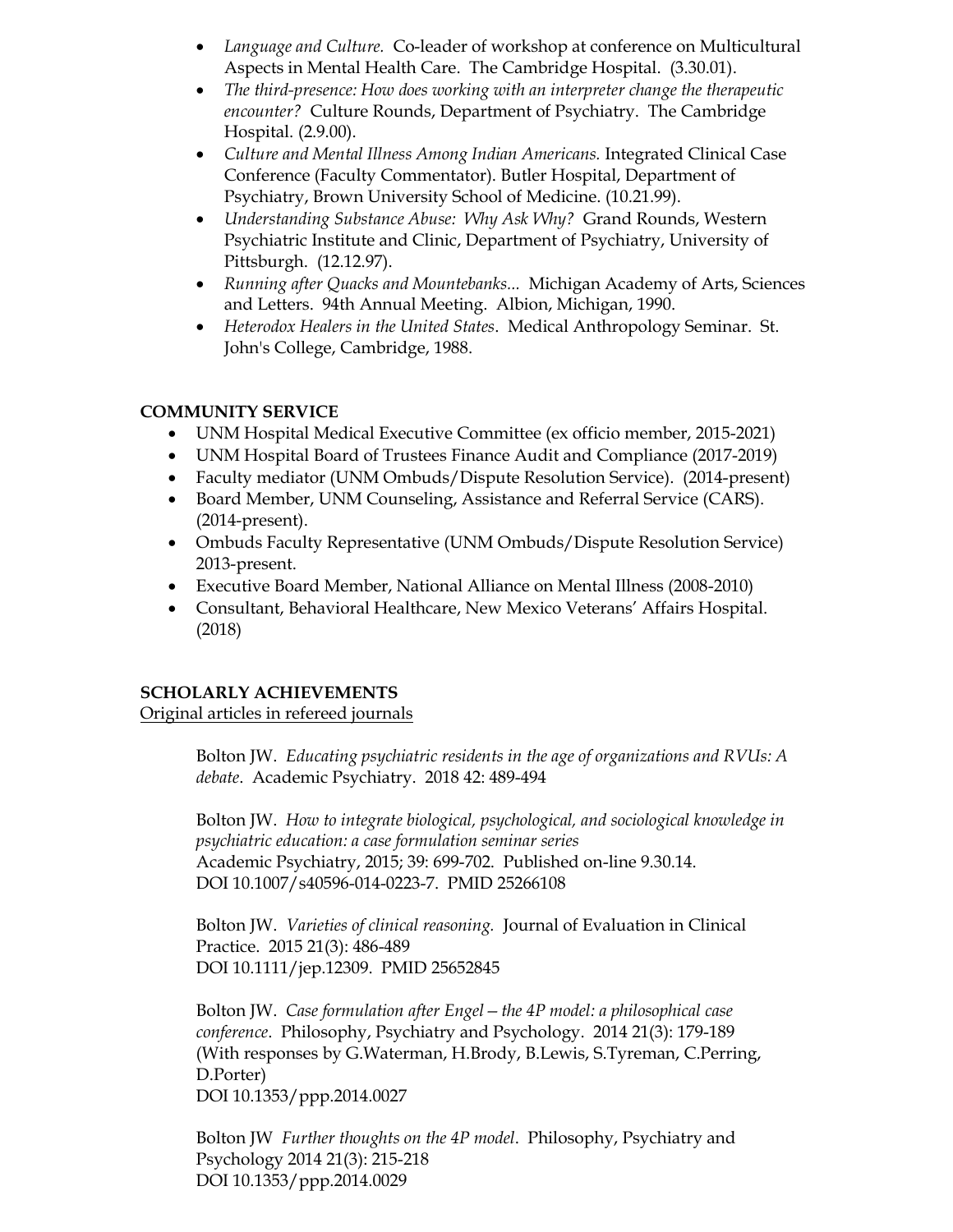- *Language and Culture.* Co-leader of workshop at conference on Multicultural Aspects in Mental Health Care. The Cambridge Hospital. (3.30.01).
- *The third-presence: How does working with an interpreter change the therapeutic encounter?* Culture Rounds, Department of Psychiatry. The Cambridge Hospital. (2.9.00).
- Culture and Mental Illness Among Indian Americans. Integrated Clinical Case Conference (Faculty Commentator). Butler Hospital, Department of Psychiatry, Brown University School of Medicine. (10.21.99).
- *Understanding Substance Abuse: Why Ask Why?* Grand Rounds, Western Psychiatric Institute and Clinic, Department of Psychiatry, University of Pittsburgh. (12.12.97).
- *Running after Quacks and Mountebanks...* Michigan Academy of Arts, Sciences and Letters. 94th Annual Meeting. Albion, Michigan, 1990.
- *Heterodox Healers in the United States*. Medical Anthropology Seminar. St. John's College, Cambridge, 1988.

## **COMMUNITY SERVICE**

- UNM Hospital Medical Executive Committee (ex officio member, 2015-2021)
- UNM Hospital Board of Trustees Finance Audit and Compliance (2017-2019)
- Faculty mediator (UNM Ombuds/Dispute Resolution Service). (2014-present)
- Board Member, UNM Counseling, Assistance and Referral Service (CARS). (2014-present).
- Ombuds Faculty Representative (UNM Ombuds/Dispute Resolution Service) 2013-present.
- Executive Board Member, National Alliance on Mental Illness (2008-2010)
- Consultant, Behavioral Healthcare, New Mexico Veterans' Affairs Hospital. (2018)

## **SCHOLARLY ACHIEVEMENTS**

Original articles in refereed journals

Bolton JW. *Educating psychiatric residents in the age of organizations and RVUs: A debate*. Academic Psychiatry. 2018 42: 489-494

Bolton JW. *How to integrate biological, psychological, and sociological knowledge in psychiatric education: a case formulation seminar series* Academic Psychiatry, 2015; 39: 699-702. Published on-line 9.30.14. DOI 10.1007/s40596-014-0223-7. PMID 25266108

Bolton JW. *Varieties of clinical reasoning.* Journal of Evaluation in Clinical Practice. 2015 21(3): 486-489 DOI 10.1111/jep.12309. PMID 25652845

Bolton JW. *Case formulation after Engel—the 4P model: a philosophical case conference*. Philosophy, Psychiatry and Psychology. 2014 21(3): 179-189 (With responses by G.Waterman, H.Brody, B.Lewis, S.Tyreman, C.Perring, D.Porter) DOI 10.1353/ppp.2014.0027

Bolton JW *Further thoughts on the 4P model*. Philosophy, Psychiatry and Psychology 2014 21(3): 215-218 DOI 10.1353/ppp.2014.0029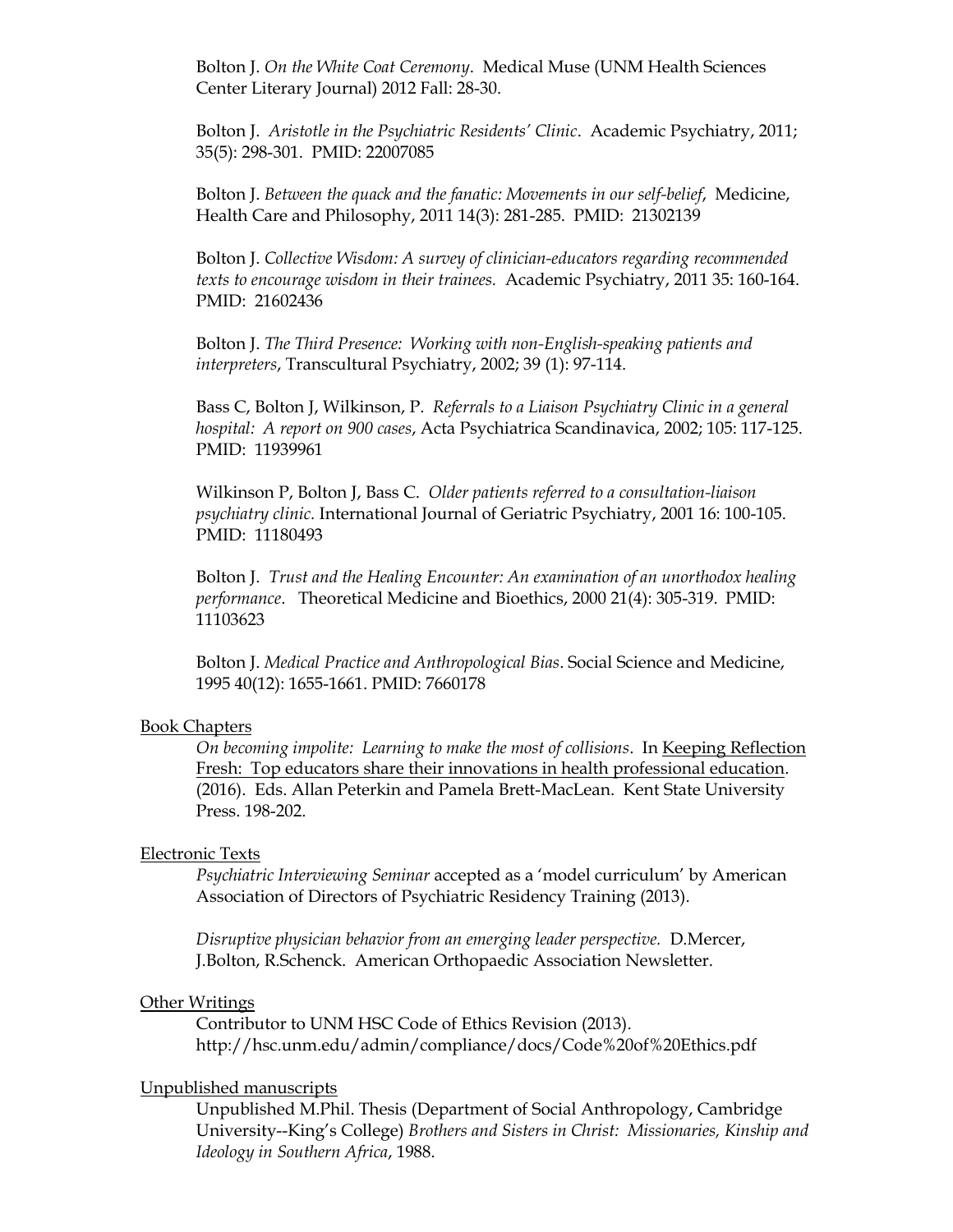Bolton J. *On the White Coat Ceremony*. Medical Muse (UNM Health Sciences Center Literary Journal) 2012 Fall: 28-30.

Bolton J. *Aristotle in the Psychiatric Residents' Clinic*. Academic Psychiatry, 2011; 35(5): 298-301. PMID: 22007085

Bolton J. *Between the quack and the fanatic: Movements in our self-belief*, Medicine, Health Care and Philosophy, 2011 14(3): 281-285. PMID: 21302139

Bolton J. *Collective Wisdom: A survey of clinician-educators regarding recommended texts to encourage wisdom in their trainees.* Academic Psychiatry, 2011 35: 160-164. PMID: 21602436

Bolton J. *The Third Presence: Working with non-English-speaking patients and interpreters*, Transcultural Psychiatry, 2002; 39 (1): 97-114.

Bass C, Bolton J, Wilkinson, P. *Referrals to a Liaison Psychiatry Clinic in a general hospital: A report on 900 cases*, Acta Psychiatrica Scandinavica, 2002; 105: 117-125. PMID: 11939961

Wilkinson P, Bolton J, Bass C. *Older patients referred to a consultation-liaison psychiatry clinic.* International Journal of Geriatric Psychiatry, 2001 16: 100-105. PMID: 11180493

Bolton J. *Trust and the Healing Encounter: An examination of an unorthodox healing performance*. Theoretical Medicine and Bioethics, 2000 21(4): 305-319. PMID: 11103623

Bolton J. *Medical Practice and Anthropological Bias*. Social Science and Medicine, 1995 40(12): 1655-1661. PMID: 7660178

#### Book Chapters

*On becoming impolite: Learning to make the most of collisions*. In Keeping Reflection Fresh: Top educators share their innovations in health professional education. (2016). Eds. Allan Peterkin and Pamela Brett-MacLean. Kent State University Press. 198-202.

#### Electronic Texts

*Psychiatric Interviewing Seminar* accepted as a 'model curriculum' by American Association of Directors of Psychiatric Residency Training (2013).

*Disruptive physician behavior from an emerging leader perspective.* D.Mercer, J.Bolton, R.Schenck. American Orthopaedic Association Newsletter.

#### Other Writings

Contributor to UNM HSC Code of Ethics Revision (2013). http://hsc.unm.edu/admin/compliance/docs/Code%20of%20Ethics.pdf

#### Unpublished manuscripts

Unpublished M.Phil. Thesis (Department of Social Anthropology, Cambridge University--King's College) *Brothers and Sisters in Christ: Missionaries, Kinship and Ideology in Southern Africa*, 1988.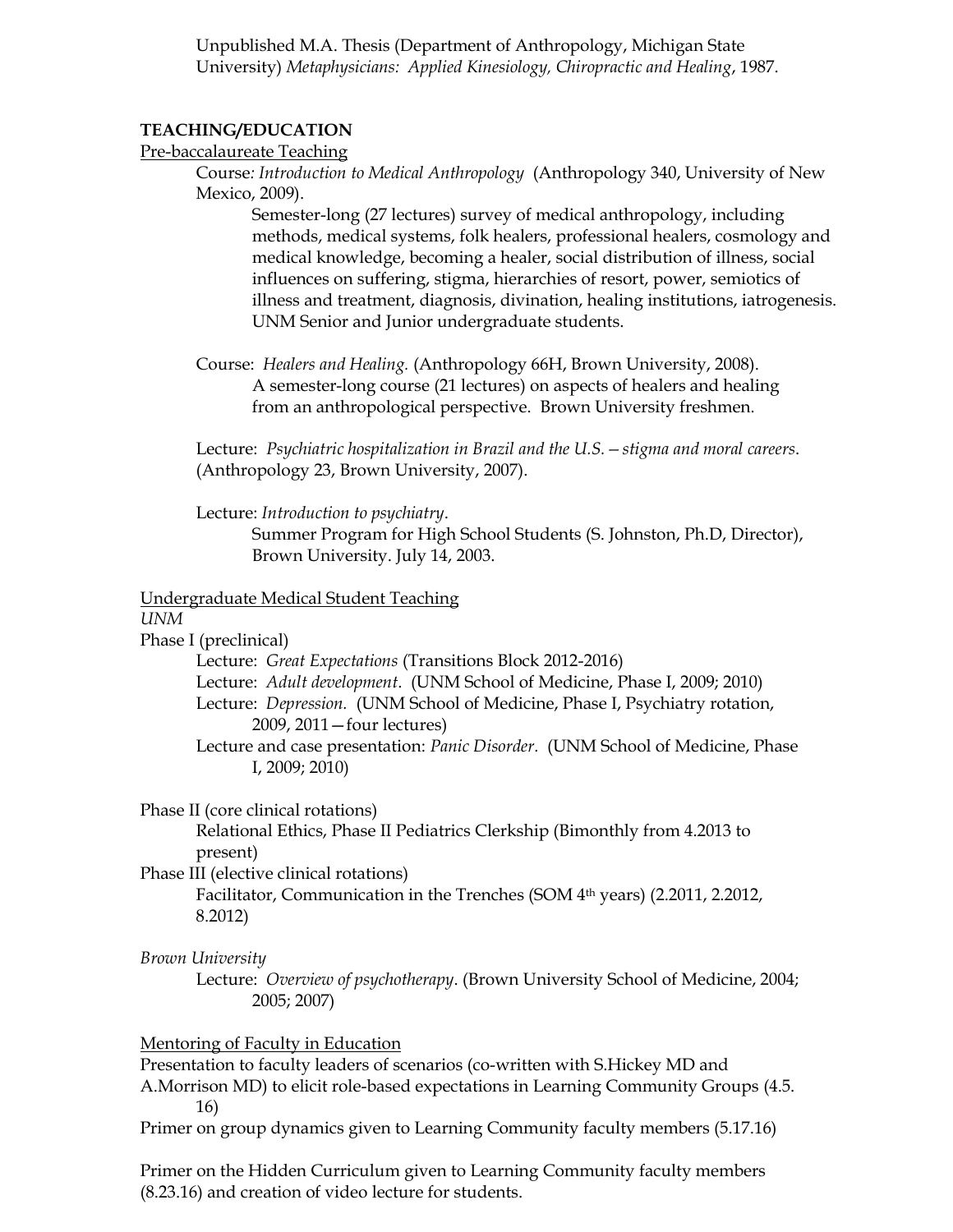Unpublished M.A. Thesis (Department of Anthropology, Michigan State University) *Metaphysicians: Applied Kinesiology, Chiropractic and Healing*, 1987.

#### **TEACHING/EDUCATION**

#### Pre-baccalaureate Teaching

Course*: Introduction to Medical Anthropology* (Anthropology 340, University of New Mexico, 2009).

Semester-long (27 lectures) survey of medical anthropology, including methods, medical systems, folk healers, professional healers, cosmology and medical knowledge, becoming a healer, social distribution of illness, social influences on suffering, stigma, hierarchies of resort, power, semiotics of illness and treatment, diagnosis, divination, healing institutions, iatrogenesis. UNM Senior and Junior undergraduate students.

Course: *Healers and Healing.* (Anthropology 66H, Brown University, 2008). A semester-long course (21 lectures) on aspects of healers and healing from an anthropological perspective. Brown University freshmen.

Lecture: *Psychiatric hospitalization in Brazil and the U.S.—stigma and moral careers*. (Anthropology 23, Brown University, 2007).

Lecture: *Introduction to psychiatry*.

Summer Program for High School Students (S. Johnston, Ph.D, Director), Brown University. July 14, 2003.

#### Undergraduate Medical Student Teaching

*UNM*

Phase I (preclinical)

Lecture: *Great Expectations* (Transitions Block 2012-2016) Lecture: *Adult development*. (UNM School of Medicine, Phase I, 2009; 2010) Lecture: *Depression.* (UNM School of Medicine, Phase I, Psychiatry rotation, 2009, 2011—four lectures) Lecture and case presentation: *Panic Disorder.* (UNM School of Medicine, Phase

I, 2009; 2010)

#### Phase II (core clinical rotations)

Relational Ethics, Phase II Pediatrics Clerkship (Bimonthly from 4.2013 to present)

Phase III (elective clinical rotations)

Facilitator, Communication in the Trenches (SOM 4<sup>th</sup> years) (2.2011, 2.2012, 8.2012)

#### *Brown University*

Lecture: *Overview of psychotherapy*. (Brown University School of Medicine, 2004; 2005; 2007)

#### Mentoring of Faculty in Education

Presentation to faculty leaders of scenarios (co-written with S.Hickey MD and A.Morrison MD) to elicit role-based expectations in Learning Community Groups (4.5. 16)

Primer on group dynamics given to Learning Community faculty members (5.17.16)

Primer on the Hidden Curriculum given to Learning Community faculty members (8.23.16) and creation of video lecture for students.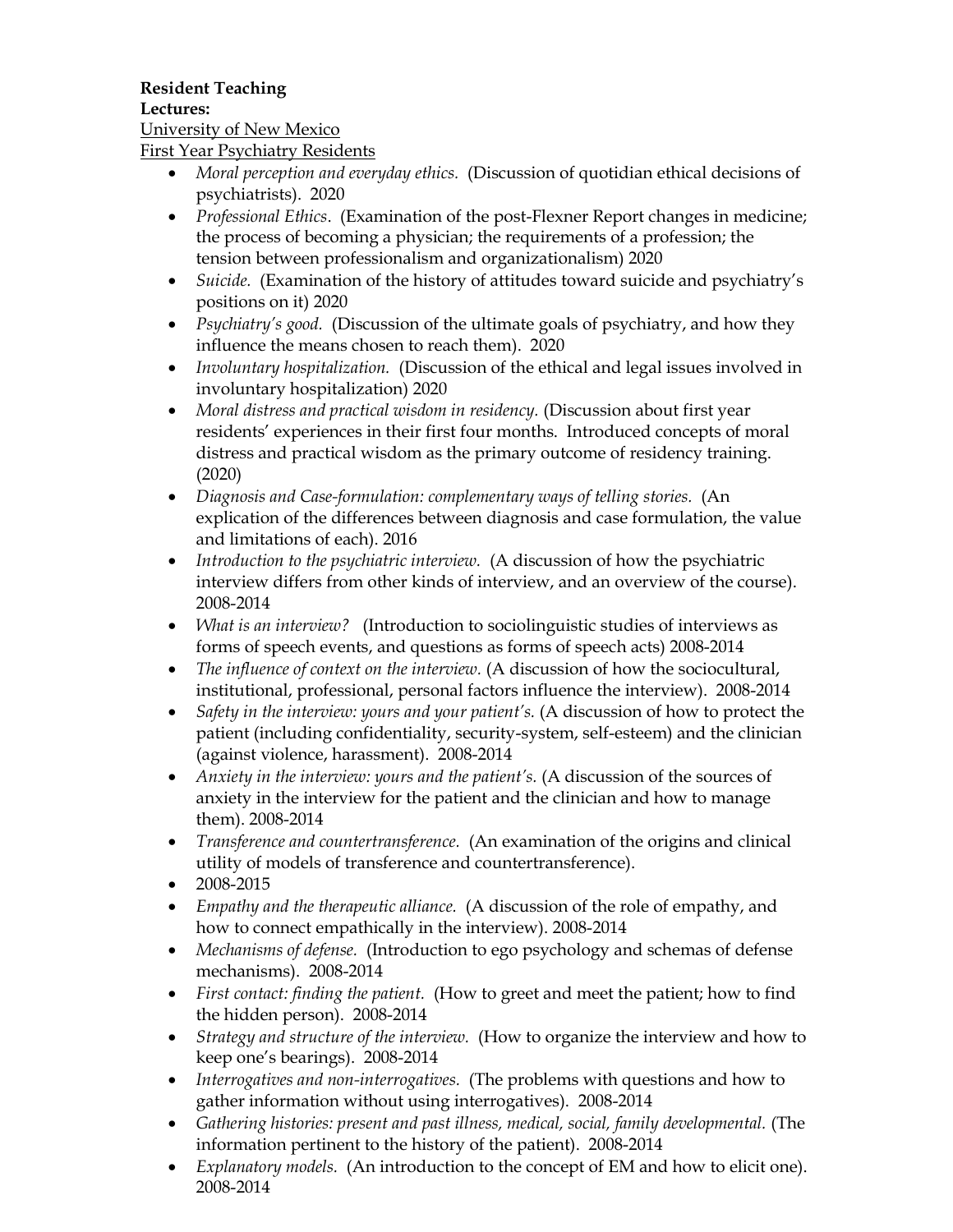# **Resident Teaching**

### **Lectures:**

## University of New Mexico

First Year Psychiatry Residents

- *Moral perception and everyday ethics.* (Discussion of quotidian ethical decisions of psychiatrists). 2020
- *Professional Ethics*. (Examination of the post-Flexner Report changes in medicine; the process of becoming a physician; the requirements of a profession; the tension between professionalism and organizationalism) 2020
- *Suicide.* (Examination of the history of attitudes toward suicide and psychiatry's positions on it) 2020
- *Psychiatry's good.* (Discussion of the ultimate goals of psychiatry, and how they influence the means chosen to reach them). 2020
- *Involuntary hospitalization.* (Discussion of the ethical and legal issues involved in involuntary hospitalization) 2020
- *Moral distress and practical wisdom in residency.* (Discussion about first year residents' experiences in their first four months. Introduced concepts of moral distress and practical wisdom as the primary outcome of residency training. (2020)
- *Diagnosis and Case-formulation: complementary ways of telling stories.* (An explication of the differences between diagnosis and case formulation, the value and limitations of each). 2016
- *Introduction to the psychiatric interview.* (A discussion of how the psychiatric interview differs from other kinds of interview, and an overview of the course). 2008-2014
- *What is an interview?* (Introduction to sociolinguistic studies of interviews as forms of speech events, and questions as forms of speech acts) 2008-2014
- *The influence of context on the interview.* (A discussion of how the sociocultural, institutional, professional, personal factors influence the interview). 2008-2014
- *Safety in the interview: yours and your patient's.* (A discussion of how to protect the patient (including confidentiality, security-system, self-esteem) and the clinician (against violence, harassment). 2008-2014
- *Anxiety in the interview: yours and the patient's.* (A discussion of the sources of anxiety in the interview for the patient and the clinician and how to manage them). 2008-2014
- *Transference and countertransference.* (An examination of the origins and clinical utility of models of transference and countertransference).
- 2008-2015
- *Empathy and the therapeutic alliance.* (A discussion of the role of empathy, and how to connect empathically in the interview). 2008-2014
- *Mechanisms of defense.* (Introduction to ego psychology and schemas of defense mechanisms). 2008-2014
- *First contact: finding the patient.* (How to greet and meet the patient; how to find the hidden person). 2008-2014
- *Strategy and structure of the interview.* (How to organize the interview and how to keep one's bearings). 2008-2014
- *Interrogatives and non-interrogatives.* (The problems with questions and how to gather information without using interrogatives). 2008-2014
- *Gathering histories: present and past illness, medical, social, family developmental.* (The information pertinent to the history of the patient). 2008-2014
- *Explanatory models.* (An introduction to the concept of EM and how to elicit one). 2008-2014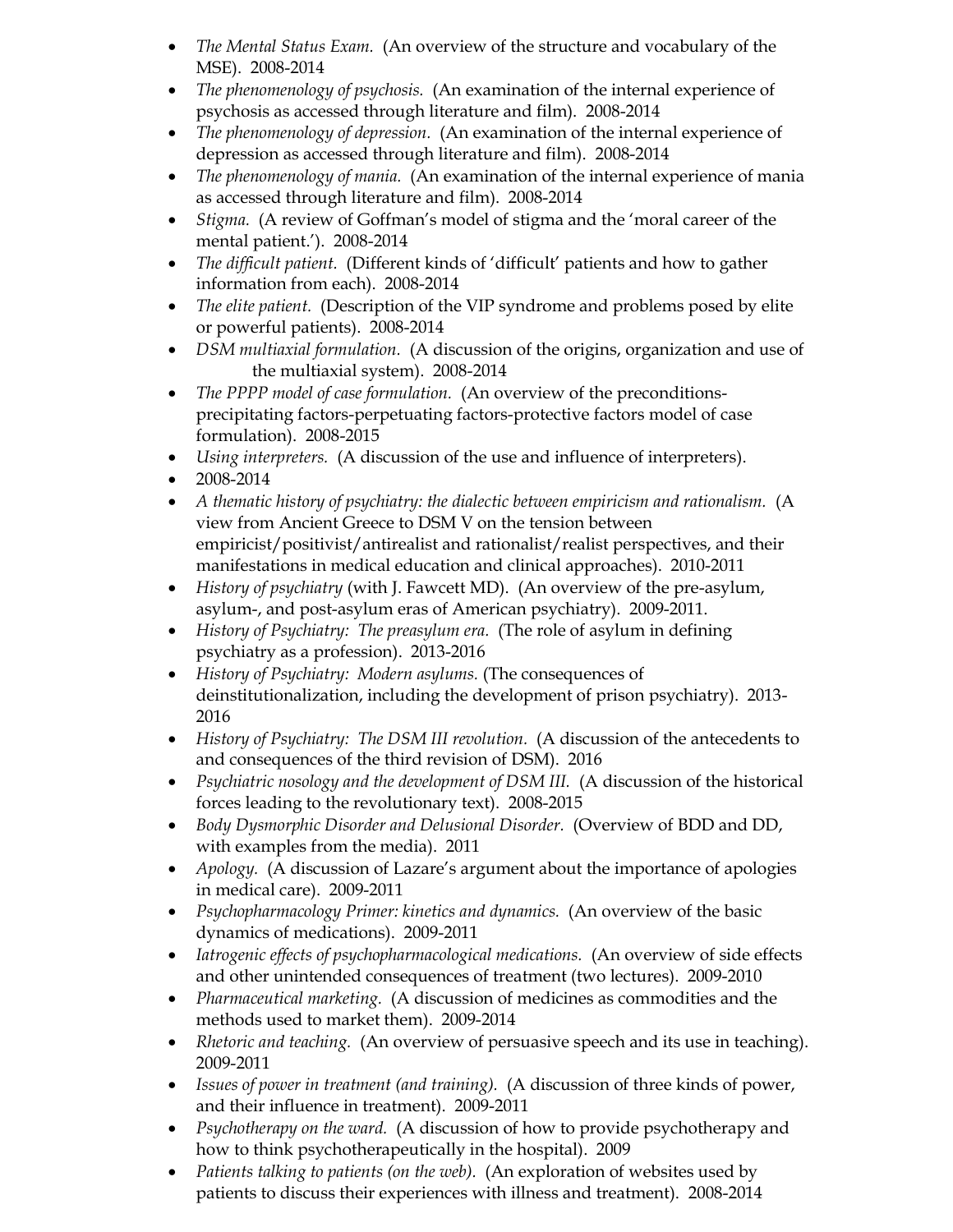- *The Mental Status Exam.* (An overview of the structure and vocabulary of the MSE). 2008-2014
- *The phenomenology of psychosis.* (An examination of the internal experience of psychosis as accessed through literature and film). 2008-2014
- *The phenomenology of depression.* (An examination of the internal experience of depression as accessed through literature and film). 2008-2014
- *The phenomenology of mania.* (An examination of the internal experience of mania as accessed through literature and film). 2008-2014
- *Stigma.* (A review of Goffman's model of stigma and the 'moral career of the mental patient.'). 2008-2014
- *The difficult patient.* (Different kinds of 'difficult' patients and how to gather information from each). 2008-2014
- *The elite patient.* (Description of the VIP syndrome and problems posed by elite or powerful patients). 2008-2014
- *DSM multiaxial formulation.* (A discussion of the origins, organization and use of the multiaxial system). 2008-2014
- *The PPPP model of case formulation.* (An overview of the preconditionsprecipitating factors-perpetuating factors-protective factors model of case formulation). 2008-2015
- *Using interpreters.* (A discussion of the use and influence of interpreters).
- 2008-2014
- *A thematic history of psychiatry: the dialectic between empiricism and rationalism.* (A view from Ancient Greece to DSM V on the tension between empiricist/positivist/antirealist and rationalist/realist perspectives, and their manifestations in medical education and clinical approaches). 2010-2011
- *History of psychiatry* (with J. Fawcett MD). (An overview of the pre-asylum, asylum-, and post-asylum eras of American psychiatry). 2009-2011.
- *History of Psychiatry: The preasylum era.* (The role of asylum in defining psychiatry as a profession). 2013-2016
- *History of Psychiatry: Modern asylums.* (The consequences of deinstitutionalization, including the development of prison psychiatry). 2013- 2016
- *History of Psychiatry: The DSM III revolution.* (A discussion of the antecedents to and consequences of the third revision of DSM). 2016
- *Psychiatric nosology and the development of DSM III.* (A discussion of the historical forces leading to the revolutionary text). 2008-2015
- *Body Dysmorphic Disorder and Delusional Disorder.* (Overview of BDD and DD, with examples from the media). 2011
- *Apology.* (A discussion of Lazare's argument about the importance of apologies in medical care). 2009-2011
- *Psychopharmacology Primer: kinetics and dynamics.* (An overview of the basic dynamics of medications). 2009-2011
- *Iatrogenic effects of psychopharmacological medications.* (An overview of side effects and other unintended consequences of treatment (two lectures). 2009-2010
- *Pharmaceutical marketing.* (A discussion of medicines as commodities and the methods used to market them). 2009-2014
- *Rhetoric and teaching.* (An overview of persuasive speech and its use in teaching). 2009-2011
- *Issues of power in treatment (and training).* (A discussion of three kinds of power, and their influence in treatment). 2009-2011
- *Psychotherapy on the ward.* (A discussion of how to provide psychotherapy and how to think psychotherapeutically in the hospital). 2009
- *Patients talking to patients (on the web).* (An exploration of websites used by patients to discuss their experiences with illness and treatment). 2008-2014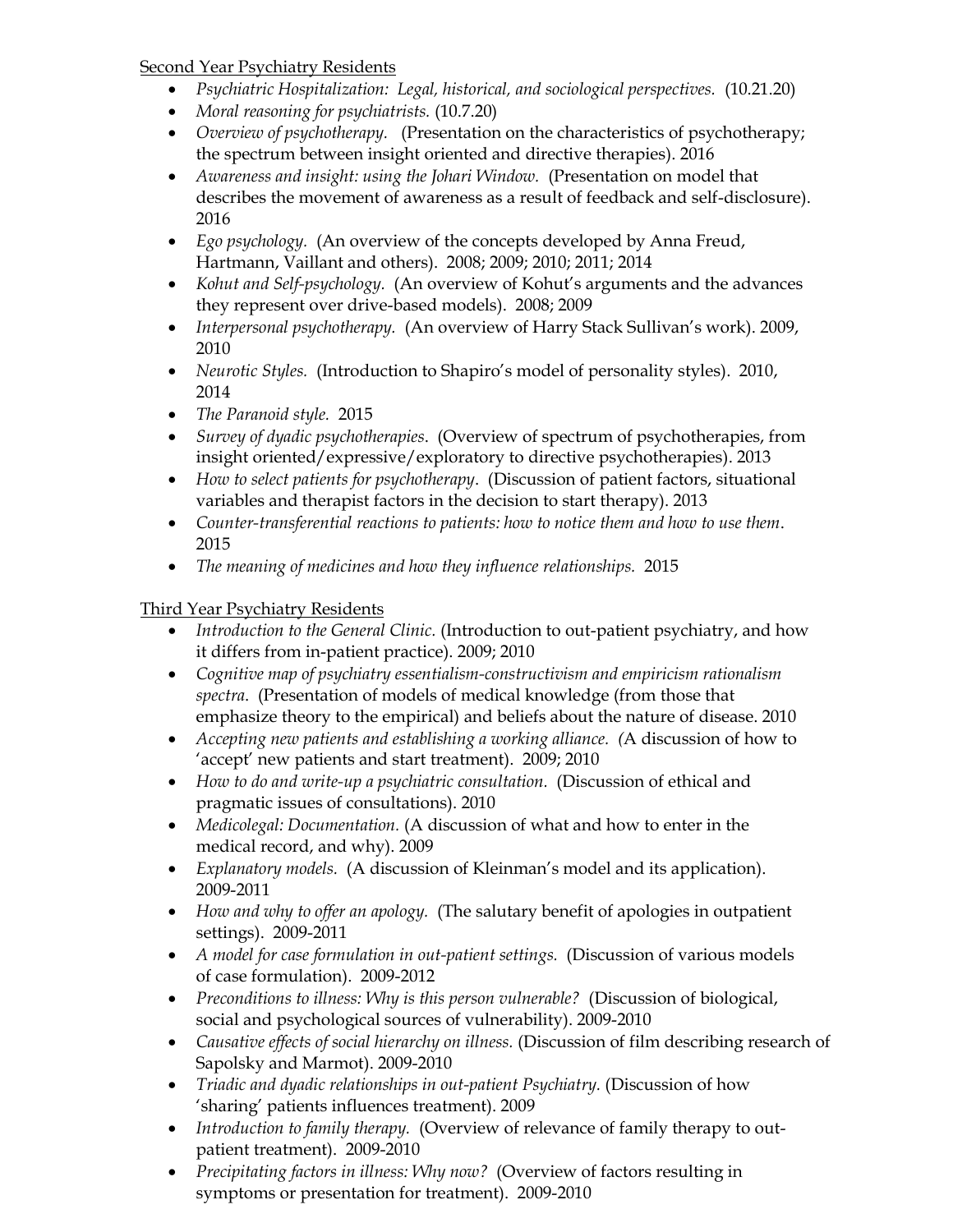## Second Year Psychiatry Residents

- *Psychiatric Hospitalization: Legal, historical, and sociological perspectives.* (10.21.20)
- *Moral reasoning for psychiatrists.* (10.7.20)
- *Overview of psychotherapy.* (Presentation on the characteristics of psychotherapy; the spectrum between insight oriented and directive therapies). 2016
- *Awareness and insight: using the Johari Window.* (Presentation on model that describes the movement of awareness as a result of feedback and self-disclosure). 2016
- *Ego psychology.* (An overview of the concepts developed by Anna Freud, Hartmann, Vaillant and others). 2008; 2009; 2010; 2011; 2014
- *Kohut and Self-psychology.* (An overview of Kohut's arguments and the advances they represent over drive-based models). 2008; 2009
- *Interpersonal psychotherapy.* (An overview of Harry Stack Sullivan's work). 2009, 2010
- *Neurotic Styles.* (Introduction to Shapiro's model of personality styles). 2010, 2014
- *The Paranoid style.* 2015
- *Survey of dyadic psychotherapies*. (Overview of spectrum of psychotherapies, from insight oriented/expressive/exploratory to directive psychotherapies). 2013
- *How to select patients for psychotherapy*. (Discussion of patient factors, situational variables and therapist factors in the decision to start therapy). 2013
- *Counter-transferential reactions to patients: how to notice them and how to use them*. 2015
- *The meaning of medicines and how they influence relationships.* 2015

# Third Year Psychiatry Residents

- *Introduction to the General Clinic.* (Introduction to out-patient psychiatry, and how it differs from in-patient practice). 2009; 2010
- *Cognitive map of psychiatry essentialism-constructivism and empiricism rationalism spectra*. (Presentation of models of medical knowledge (from those that emphasize theory to the empirical) and beliefs about the nature of disease. 2010
- *Accepting new patients and establishing a working alliance. (*A discussion of how to 'accept' new patients and start treatment). 2009; 2010
- *How to do and write-up a psychiatric consultation.* (Discussion of ethical and pragmatic issues of consultations). 2010
- *Medicolegal: Documentation.* (A discussion of what and how to enter in the medical record, and why). 2009
- *Explanatory models.* (A discussion of Kleinman's model and its application). 2009-2011
- *How and why to offer an apology.* (The salutary benefit of apologies in outpatient settings). 2009-2011
- *A model for case formulation in out-patient settings.* (Discussion of various models of case formulation). 2009-2012
- *Preconditions to illness: Why is this person vulnerable?* (Discussion of biological, social and psychological sources of vulnerability). 2009-2010
- *Causative effects of social hierarchy on illness.* (Discussion of film describing research of Sapolsky and Marmot). 2009-2010
- *Triadic and dyadic relationships in out-patient Psychiatry.* (Discussion of how 'sharing' patients influences treatment). 2009
- *Introduction to family therapy.* (Overview of relevance of family therapy to outpatient treatment). 2009-2010
- *Precipitating factors in illness: Why now?* (Overview of factors resulting in symptoms or presentation for treatment). 2009-2010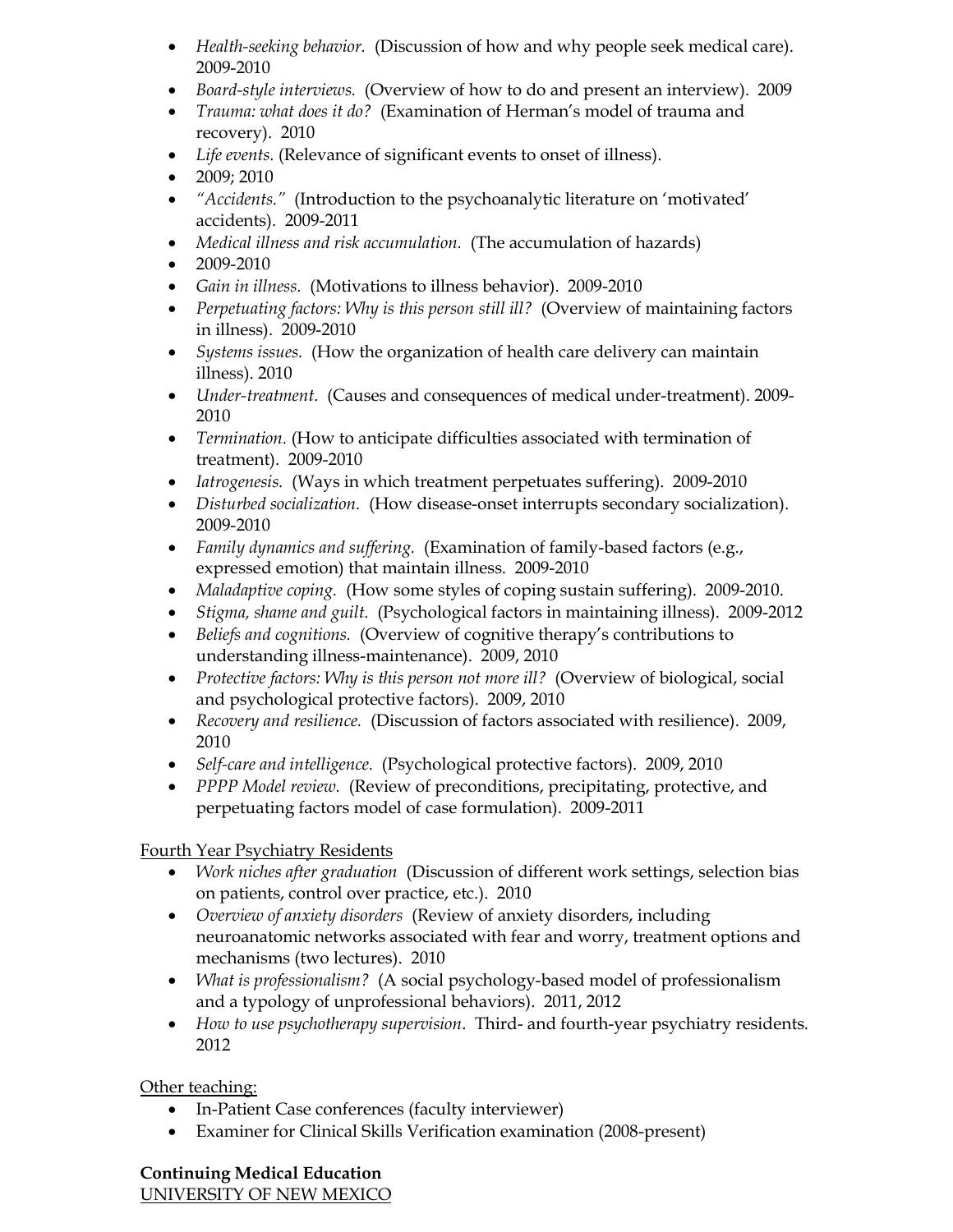- *Health-seeking behavior.* (Discussion of how and why people seek medical care). 2009-2010
- *Board-style interviews.* (Overview of how to do and present an interview). 2009
- *Trauma: what does it do?* (Examination of Herman's model of trauma and recovery). 2010
- *Life events.* (Relevance of significant events to onset of illness).
- 2009; 2010
- *"Accidents."* (Introduction to the psychoanalytic literature on 'motivated' accidents). 2009-2011
- *Medical illness and risk accumulation.* (The accumulation of hazards)
- 2009-2010
- *Gain in illness.* (Motivations to illness behavior). 2009-2010
- *Perpetuating factors: Why is this person still ill?* (Overview of maintaining factors in illness). 2009-2010
- *Systems issues.* (How the organization of health care delivery can maintain illness). 2010
- *Under-treatment.* (Causes and consequences of medical under-treatment). 2009- 2010
- *Termination.* (How to anticipate difficulties associated with termination of treatment). 2009-2010
- *Iatrogenesis.* (Ways in which treatment perpetuates suffering). 2009-2010
- *Disturbed socialization.* (How disease-onset interrupts secondary socialization). 2009-2010
- *Family dynamics and suffering.* (Examination of family-based factors (e.g., expressed emotion) that maintain illness. 2009-2010
- *Maladaptive coping.* (How some styles of coping sustain suffering). 2009-2010.
- *Stigma, shame and guilt.* (Psychological factors in maintaining illness). 2009-2012
- *Beliefs and cognitions.* (Overview of cognitive therapy's contributions to understanding illness-maintenance). 2009, 2010
- *Protective factors: Why is this person not more ill?* (Overview of biological, social and psychological protective factors). 2009, 2010
- *Recovery and resilience.* (Discussion of factors associated with resilience). 2009, 2010
- *Self-care and intelligence.* (Psychological protective factors). 2009, 2010
- *PPPP Model review.* (Review of preconditions, precipitating, protective, and perpetuating factors model of case formulation). 2009-2011

# Fourth Year Psychiatry Residents

- *Work niches after graduation* (Discussion of different work settings, selection bias on patients, control over practice, etc.). 2010
- *Overview of anxiety disorders* (Review of anxiety disorders, including neuroanatomic networks associated with fear and worry, treatment options and mechanisms (two lectures). 2010
- *What is professionalism?* (A social psychology-based model of professionalism and a typology of unprofessional behaviors). 2011, 2012
- *How to use psychotherapy supervision*. Third- and fourth-year psychiatry residents. 2012

# Other teaching:

- In-Patient Case conferences (faculty interviewer)
- Examiner for Clinical Skills Verification examination (2008-present)

# **Continuing Medical Education**

UNIVERSITY OF NEW MEXICO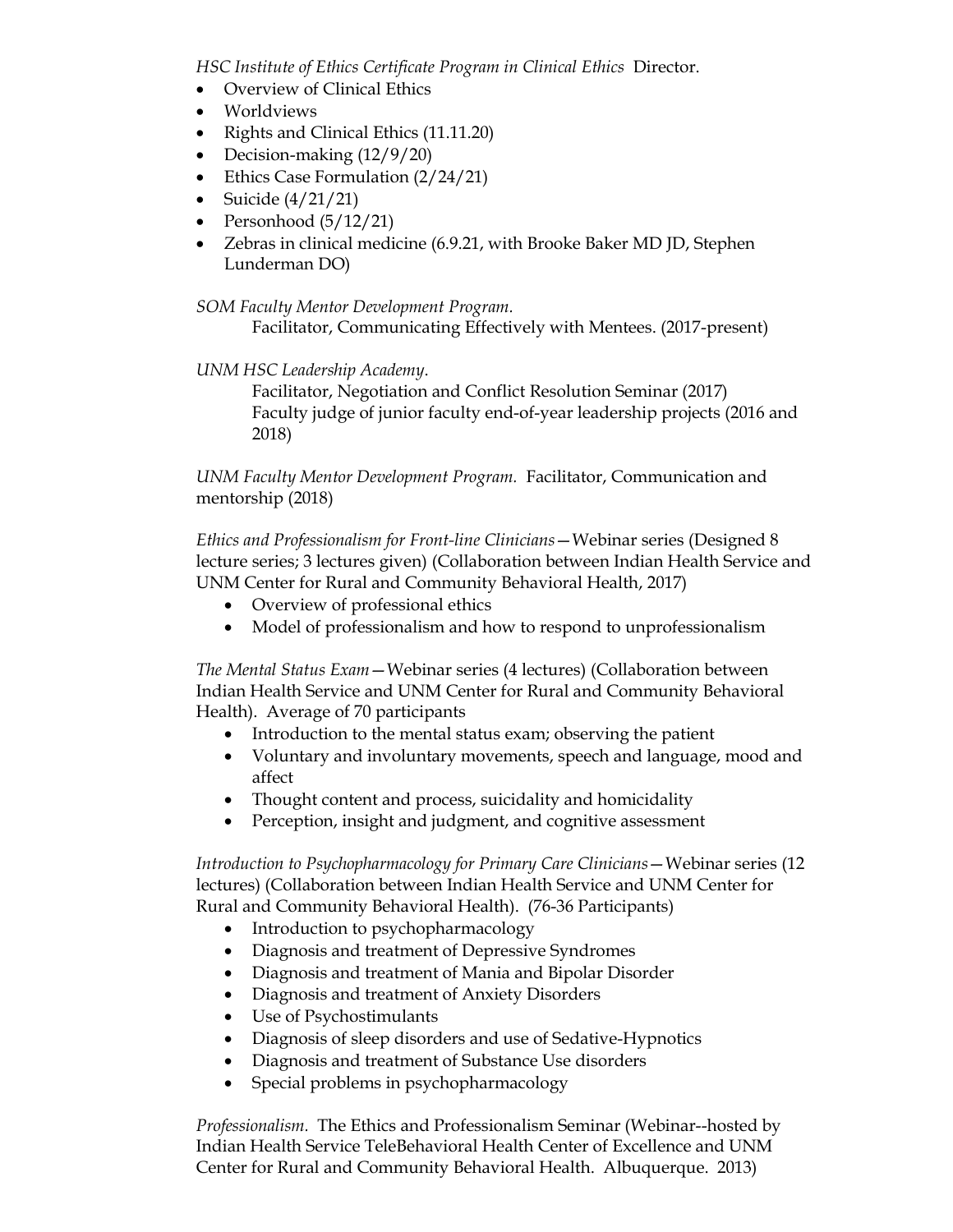*HSC Institute of Ethics Certificate Program in Clinical Ethics* Director.

- Overview of Clinical Ethics
- Worldviews
- Rights and Clinical Ethics (11.11.20)
- Decision-making (12/9/20)
- Ethics Case Formulation (2/24/21)
- Suicide  $\left(\frac{4}{21}\right)$
- Personhood  $(5/12/21)$
- Zebras in clinical medicine (6.9.21, with Brooke Baker MD JD, Stephen Lunderman DO)

*SOM Faculty Mentor Development Program.*

Facilitator, Communicating Effectively with Mentees. (2017-present)

#### *UNM HSC Leadership Academy*.

Facilitator, Negotiation and Conflict Resolution Seminar (2017) Faculty judge of junior faculty end-of-year leadership projects (2016 and 2018)

*UNM Faculty Mentor Development Program.* Facilitator, Communication and mentorship (2018)

*Ethics and Professionalism for Front-line Clinicians*—Webinar series (Designed 8 lecture series; 3 lectures given) (Collaboration between Indian Health Service and UNM Center for Rural and Community Behavioral Health, 2017)

- Overview of professional ethics
- Model of professionalism and how to respond to unprofessionalism

*The Mental Status Exam*—Webinar series (4 lectures) (Collaboration between Indian Health Service and UNM Center for Rural and Community Behavioral Health). Average of 70 participants

- Introduction to the mental status exam; observing the patient
- Voluntary and involuntary movements, speech and language, mood and affect
- Thought content and process, suicidality and homicidality
- Perception, insight and judgment, and cognitive assessment

*Introduction to Psychopharmacology for Primary Care Clinicians*—Webinar series (12 lectures) (Collaboration between Indian Health Service and UNM Center for Rural and Community Behavioral Health). (76-36 Participants)

- Introduction to psychopharmacology
- Diagnosis and treatment of Depressive Syndromes
- Diagnosis and treatment of Mania and Bipolar Disorder
- Diagnosis and treatment of Anxiety Disorders
- Use of Psychostimulants
- Diagnosis of sleep disorders and use of Sedative-Hypnotics
- Diagnosis and treatment of Substance Use disorders
- Special problems in psychopharmacology

*Professionalism.* The Ethics and Professionalism Seminar (Webinar--hosted by Indian Health Service TeleBehavioral Health Center of Excellence and UNM Center for Rural and Community Behavioral Health. Albuquerque. 2013)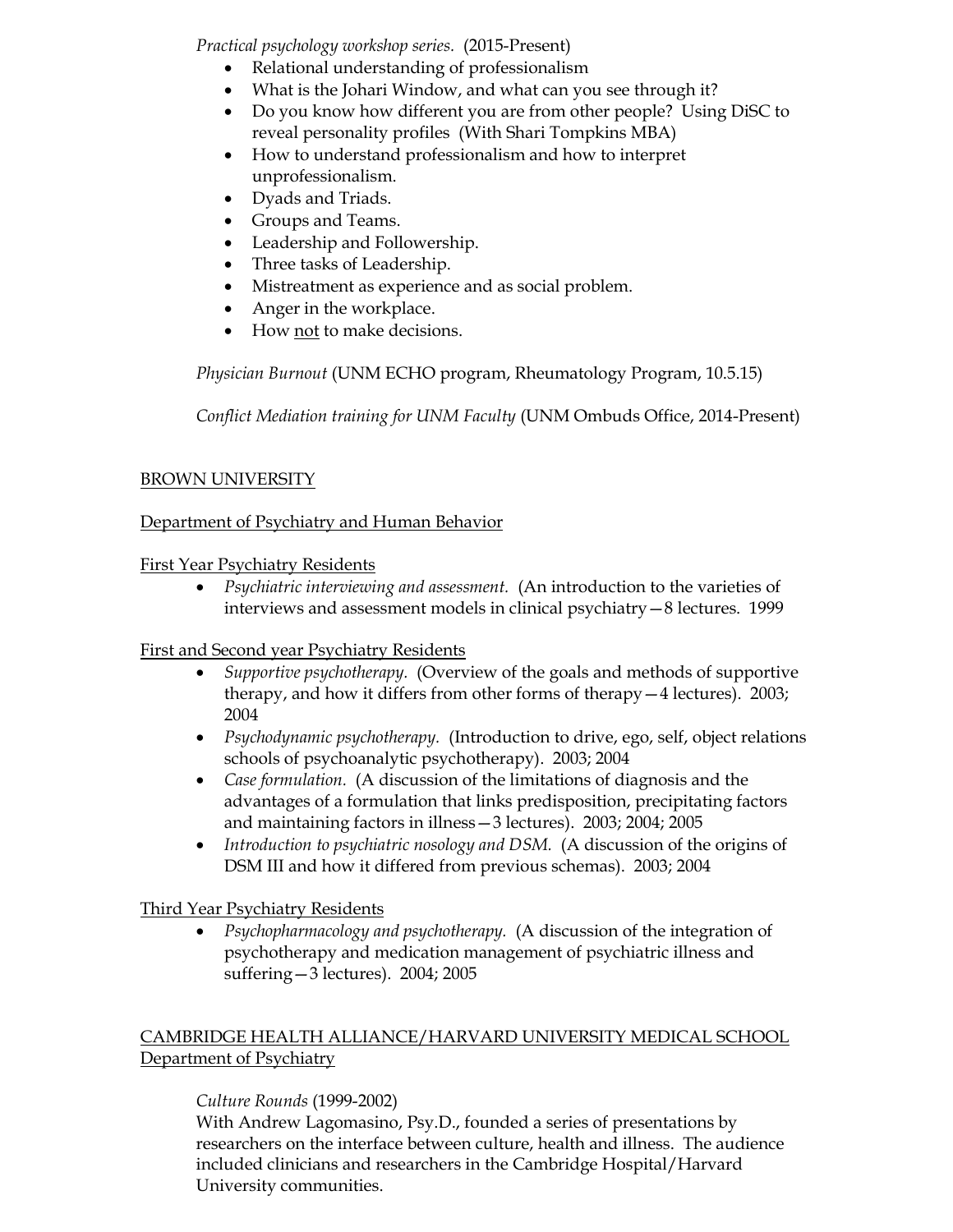*Practical psychology workshop series.* (2015-Present)

- Relational understanding of professionalism
- What is the Johari Window, and what can you see through it?
- Do you know how different you are from other people? Using DiSC to reveal personality profiles (With Shari Tompkins MBA)
- How to understand professionalism and how to interpret unprofessionalism.
- Dyads and Triads.
- Groups and Teams.
- Leadership and Followership.
- Three tasks of Leadership.
- Mistreatment as experience and as social problem.
- Anger in the workplace.
- How not to make decisions.

*Physician Burnout* (UNM ECHO program, Rheumatology Program, 10.5.15)

*Conflict Mediation training for UNM Faculty* (UNM Ombuds Office, 2014-Present)

## BROWN UNIVERSITY

## Department of Psychiatry and Human Behavior

## First Year Psychiatry Residents

• *Psychiatric interviewing and assessment.* (An introduction to the varieties of interviews and assessment models in clinical psychiatry—8 lectures. 1999

## First and Second year Psychiatry Residents

- *Supportive psychotherapy.* (Overview of the goals and methods of supportive therapy, and how it differs from other forms of therapy—4 lectures). 2003; 2004
- *Psychodynamic psychotherapy.* (Introduction to drive, ego, self, object relations schools of psychoanalytic psychotherapy). 2003; 2004
- *Case formulation.* (A discussion of the limitations of diagnosis and the advantages of a formulation that links predisposition, precipitating factors and maintaining factors in illness—3 lectures). 2003; 2004; 2005
- *Introduction to psychiatric nosology and DSM.* (A discussion of the origins of DSM III and how it differed from previous schemas). 2003; 2004

## Third Year Psychiatry Residents

• *Psychopharmacology and psychotherapy.* (A discussion of the integration of psychotherapy and medication management of psychiatric illness and suffering—3 lectures). 2004; 2005

## CAMBRIDGE HEALTH ALLIANCE/HARVARD UNIVERSITY MEDICAL SCHOOL Department of Psychiatry

## *Culture Rounds* (1999-2002)

With Andrew Lagomasino, Psy.D., founded a series of presentations by researchers on the interface between culture, health and illness. The audience included clinicians and researchers in the Cambridge Hospital/Harvard University communities.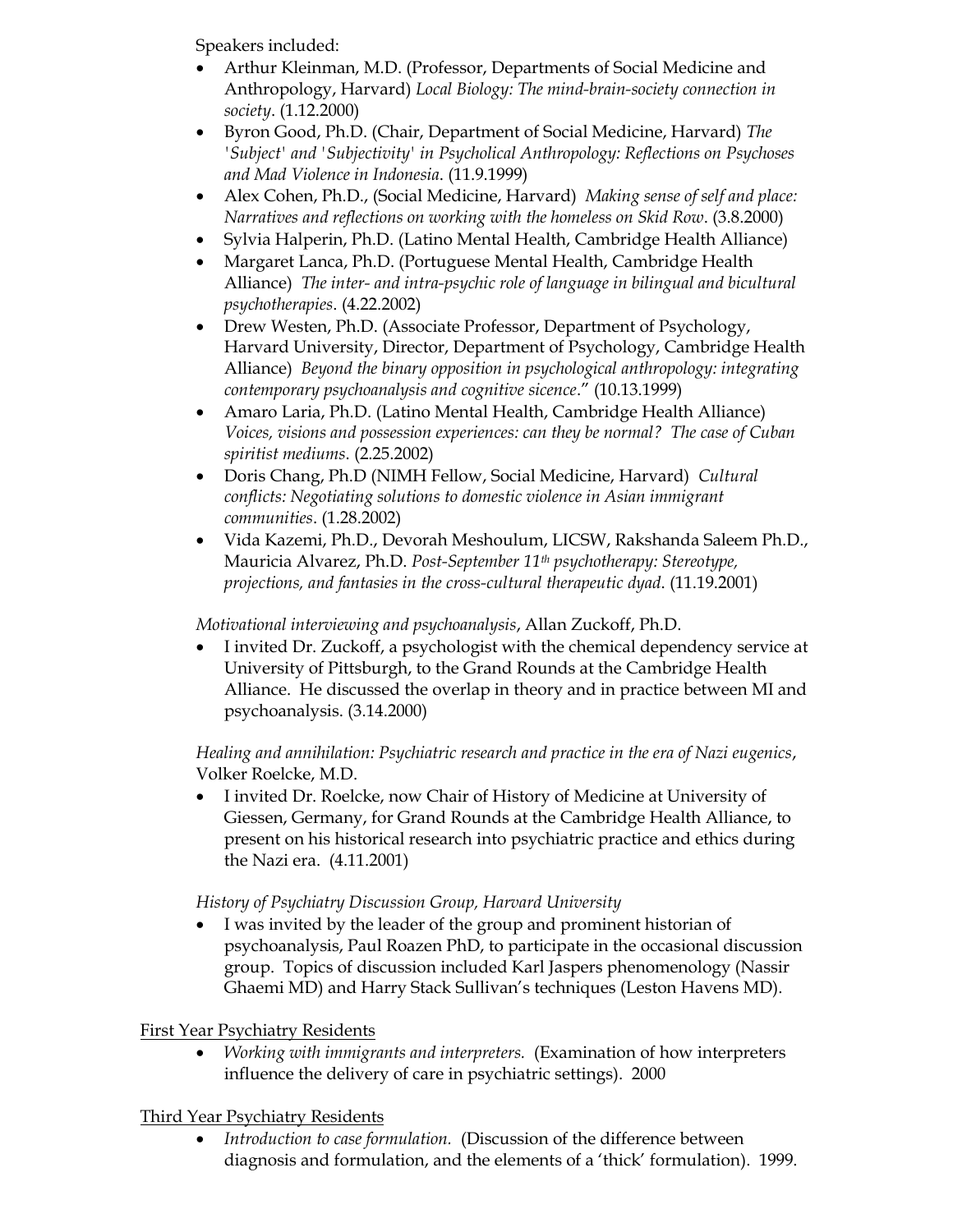Speakers included:

- Arthur Kleinman, M.D. (Professor, Departments of Social Medicine and Anthropology, Harvard) *Local Biology: The mind-brain-society connection in society*. (1.12.2000)
- Byron Good, Ph.D. (Chair, Department of Social Medicine, Harvard) *The 'Subject' and 'Subjectivity' in Psycholical Anthropology: Reflections on Psychoses and Mad Violence in Indonesia*. (11.9.1999)
- Alex Cohen, Ph.D., (Social Medicine, Harvard) *Making sense of self and place: Narratives and reflections on working with the homeless on Skid Row*. (3.8.2000)
- Sylvia Halperin, Ph.D. (Latino Mental Health, Cambridge Health Alliance)
- Margaret Lanca, Ph.D. (Portuguese Mental Health, Cambridge Health Alliance) *The inter- and intra-psychic role of language in bilingual and bicultural psychotherapies*. (4.22.2002)
- Drew Westen, Ph.D. (Associate Professor, Department of Psychology, Harvard University, Director, Department of Psychology, Cambridge Health Alliance) *Beyond the binary opposition in psychological anthropology: integrating contemporary psychoanalysis and cognitive sicence*." (10.13.1999)
- Amaro Laria, Ph.D. (Latino Mental Health, Cambridge Health Alliance) *Voices, visions and possession experiences: can they be normal? The case of Cuban spiritist mediums*. (2.25.2002)
- Doris Chang, Ph.D (NIMH Fellow, Social Medicine, Harvard) *Cultural conflicts: Negotiating solutions to domestic violence in Asian immigrant communities*. (1.28.2002)
- Vida Kazemi, Ph.D., Devorah Meshoulum, LICSW, Rakshanda Saleem Ph.D., Mauricia Alvarez, Ph.D. *Post-September 11th psychotherapy: Stereotype, projections, and fantasies in the cross-cultural therapeutic dyad*. (11.19.2001)

*Motivational interviewing and psychoanalysis*, Allan Zuckoff, Ph.D.

• I invited Dr. Zuckoff, a psychologist with the chemical dependency service at University of Pittsburgh, to the Grand Rounds at the Cambridge Health Alliance. He discussed the overlap in theory and in practice between MI and psychoanalysis. (3.14.2000)

*Healing and annihilation: Psychiatric research and practice in the era of Nazi eugenics*, Volker Roelcke, M.D.

• I invited Dr. Roelcke, now Chair of History of Medicine at University of Giessen, Germany, for Grand Rounds at the Cambridge Health Alliance, to present on his historical research into psychiatric practice and ethics during the Nazi era. (4.11.2001)

# *History of Psychiatry Discussion Group, Harvard University*

• I was invited by the leader of the group and prominent historian of psychoanalysis, Paul Roazen PhD, to participate in the occasional discussion group. Topics of discussion included Karl Jaspers phenomenology (Nassir Ghaemi MD) and Harry Stack Sullivan's techniques (Leston Havens MD).

First Year Psychiatry Residents

• *Working with immigrants and interpreters.* (Examination of how interpreters influence the delivery of care in psychiatric settings). 2000

Third Year Psychiatry Residents

• *Introduction to case formulation.* (Discussion of the difference between diagnosis and formulation, and the elements of a 'thick' formulation). 1999.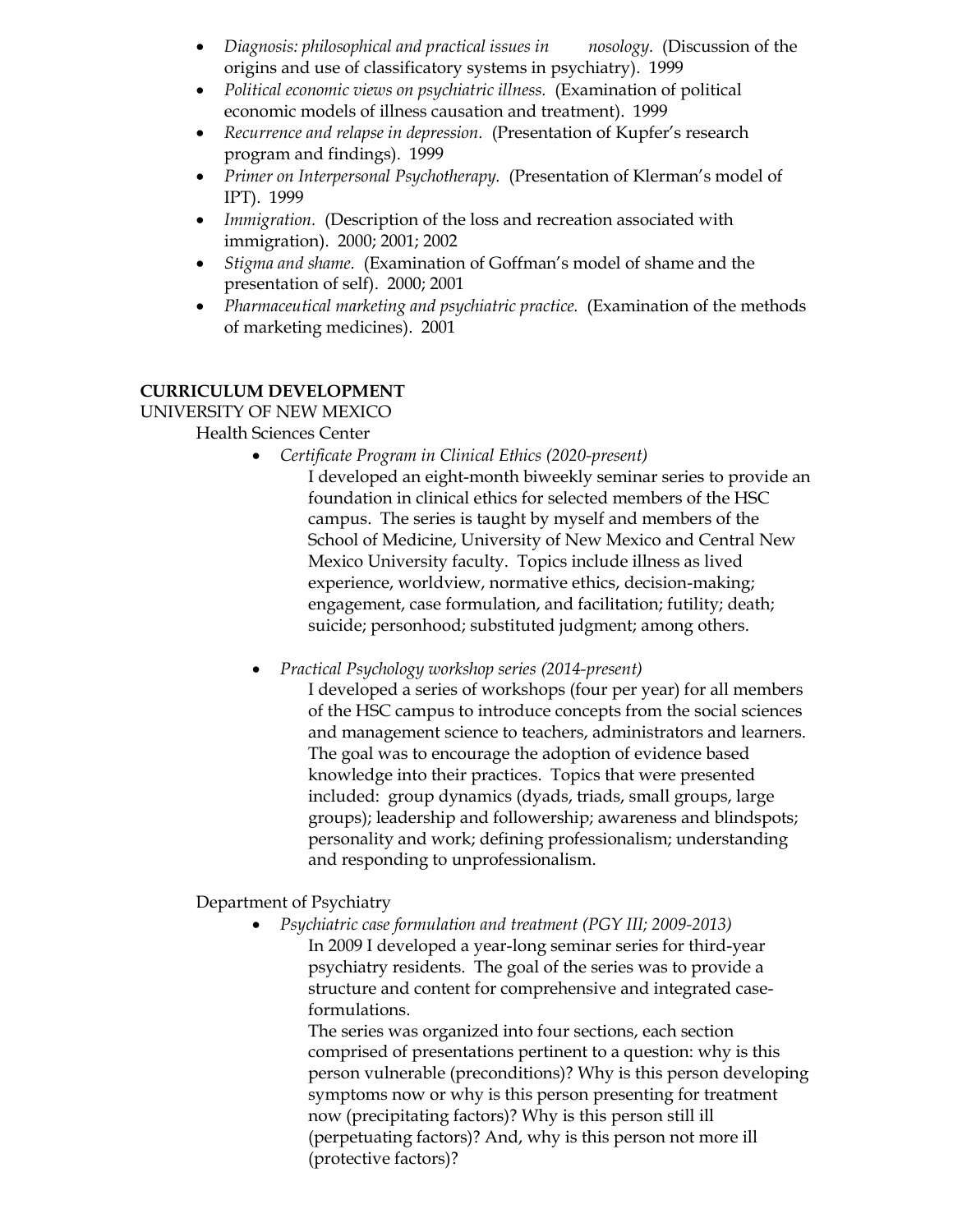- *Diagnosis: philosophical and practical issues in nosology.* (Discussion of the origins and use of classificatory systems in psychiatry). 1999
- *Political economic views on psychiatric illness.* (Examination of political economic models of illness causation and treatment). 1999
- *Recurrence and relapse in depression.* (Presentation of Kupfer's research program and findings). 1999
- *Primer on Interpersonal Psychotherapy.* (Presentation of Klerman's model of IPT). 1999
- *Immigration.* (Description of the loss and recreation associated with immigration). 2000; 2001; 2002
- *Stigma and shame.* (Examination of Goffman's model of shame and the presentation of self). 2000; 2001
- *Pharmaceutical marketing and psychiatric practice.* (Examination of the methods of marketing medicines). 2001

## **CURRICULUM DEVELOPMENT**

UNIVERSITY OF NEW MEXICO

Health Sciences Center

- *Certificate Program in Clinical Ethics (2020-present)*
	- I developed an eight-month biweekly seminar series to provide an foundation in clinical ethics for selected members of the HSC campus. The series is taught by myself and members of the School of Medicine, University of New Mexico and Central New Mexico University faculty. Topics include illness as lived experience, worldview, normative ethics, decision-making; engagement, case formulation, and facilitation; futility; death; suicide; personhood; substituted judgment; among others.

• *Practical Psychology workshop series (2014-present)*

I developed a series of workshops (four per year) for all members of the HSC campus to introduce concepts from the social sciences and management science to teachers, administrators and learners. The goal was to encourage the adoption of evidence based knowledge into their practices. Topics that were presented included: group dynamics (dyads, triads, small groups, large groups); leadership and followership; awareness and blindspots; personality and work; defining professionalism; understanding and responding to unprofessionalism.

Department of Psychiatry

• *Psychiatric case formulation and treatment (PGY III; 2009-2013)*

In 2009 I developed a year-long seminar series for third-year psychiatry residents. The goal of the series was to provide a structure and content for comprehensive and integrated caseformulations.

The series was organized into four sections, each section comprised of presentations pertinent to a question: why is this person vulnerable (preconditions)? Why is this person developing symptoms now or why is this person presenting for treatment now (precipitating factors)? Why is this person still ill (perpetuating factors)? And, why is this person not more ill (protective factors)?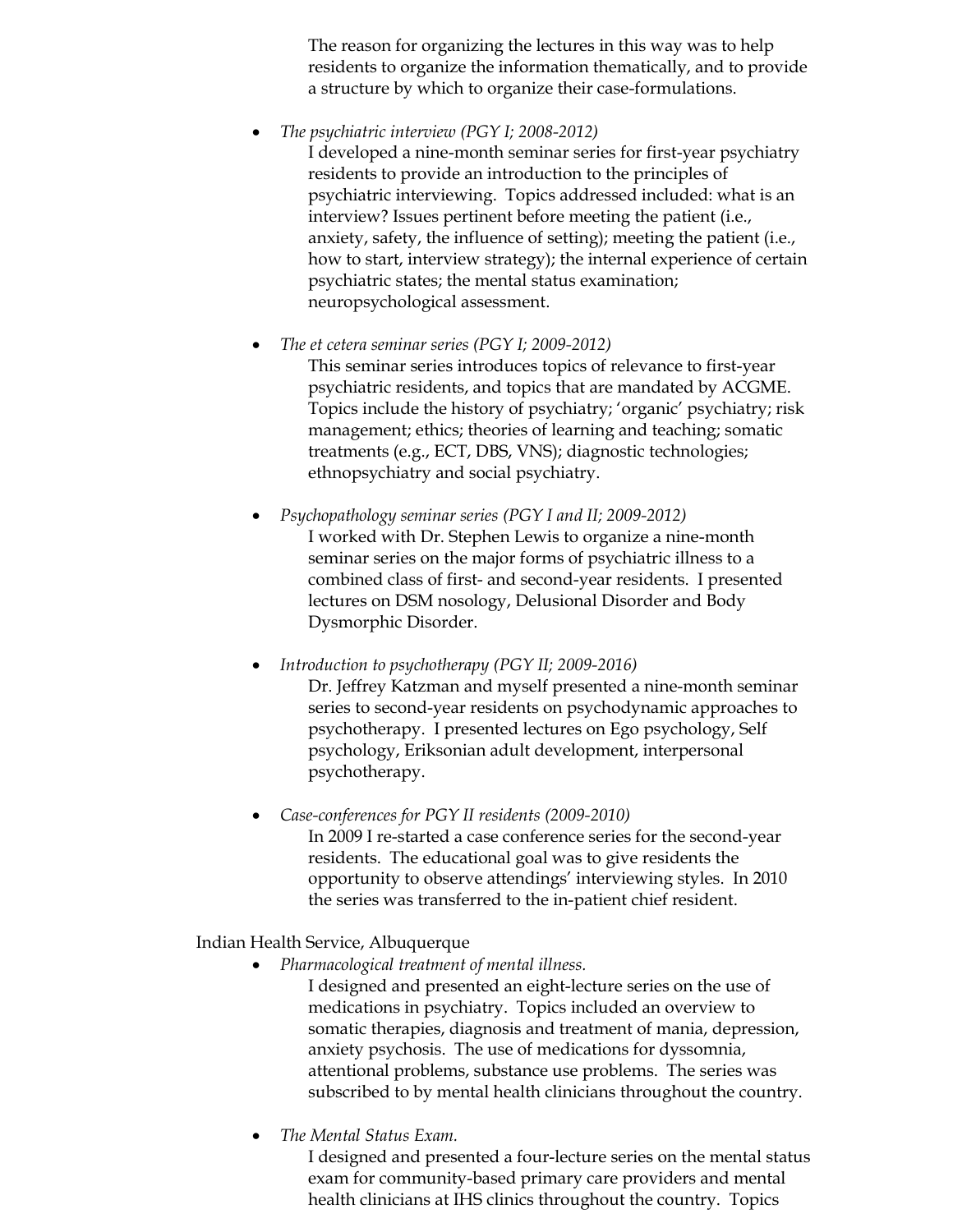The reason for organizing the lectures in this way was to help residents to organize the information thematically, and to provide a structure by which to organize their case-formulations.

• *The psychiatric interview (PGY I; 2008-2012)*

I developed a nine-month seminar series for first-year psychiatry residents to provide an introduction to the principles of psychiatric interviewing. Topics addressed included: what is an interview? Issues pertinent before meeting the patient (i.e., anxiety, safety, the influence of setting); meeting the patient (i.e., how to start, interview strategy); the internal experience of certain psychiatric states; the mental status examination; neuropsychological assessment.

• *The et cetera seminar series (PGY I; 2009-2012)*

This seminar series introduces topics of relevance to first-year psychiatric residents, and topics that are mandated by ACGME. Topics include the history of psychiatry; 'organic' psychiatry; risk management; ethics; theories of learning and teaching; somatic treatments (e.g., ECT, DBS, VNS); diagnostic technologies; ethnopsychiatry and social psychiatry.

- *Psychopathology seminar series (PGY I and II; 2009-2012)* I worked with Dr. Stephen Lewis to organize a nine-month seminar series on the major forms of psychiatric illness to a combined class of first- and second-year residents. I presented lectures on DSM nosology, Delusional Disorder and Body Dysmorphic Disorder.
- *Introduction to psychotherapy (PGY II; 2009-2016)* Dr. Jeffrey Katzman and myself presented a nine-month seminar series to second-year residents on psychodynamic approaches to psychotherapy. I presented lectures on Ego psychology, Self psychology, Eriksonian adult development, interpersonal psychotherapy.
- *Case-conferences for PGY II residents (2009-2010)* In 2009 I re-started a case conference series for the second-year residents. The educational goal was to give residents the opportunity to observe attendings' interviewing styles. In 2010 the series was transferred to the in-patient chief resident.

Indian Health Service, Albuquerque

• *Pharmacological treatment of mental illness.*

I designed and presented an eight-lecture series on the use of medications in psychiatry. Topics included an overview to somatic therapies, diagnosis and treatment of mania, depression, anxiety psychosis. The use of medications for dyssomnia, attentional problems, substance use problems. The series was subscribed to by mental health clinicians throughout the country.

• *The Mental Status Exam.* 

I designed and presented a four-lecture series on the mental status exam for community-based primary care providers and mental health clinicians at IHS clinics throughout the country. Topics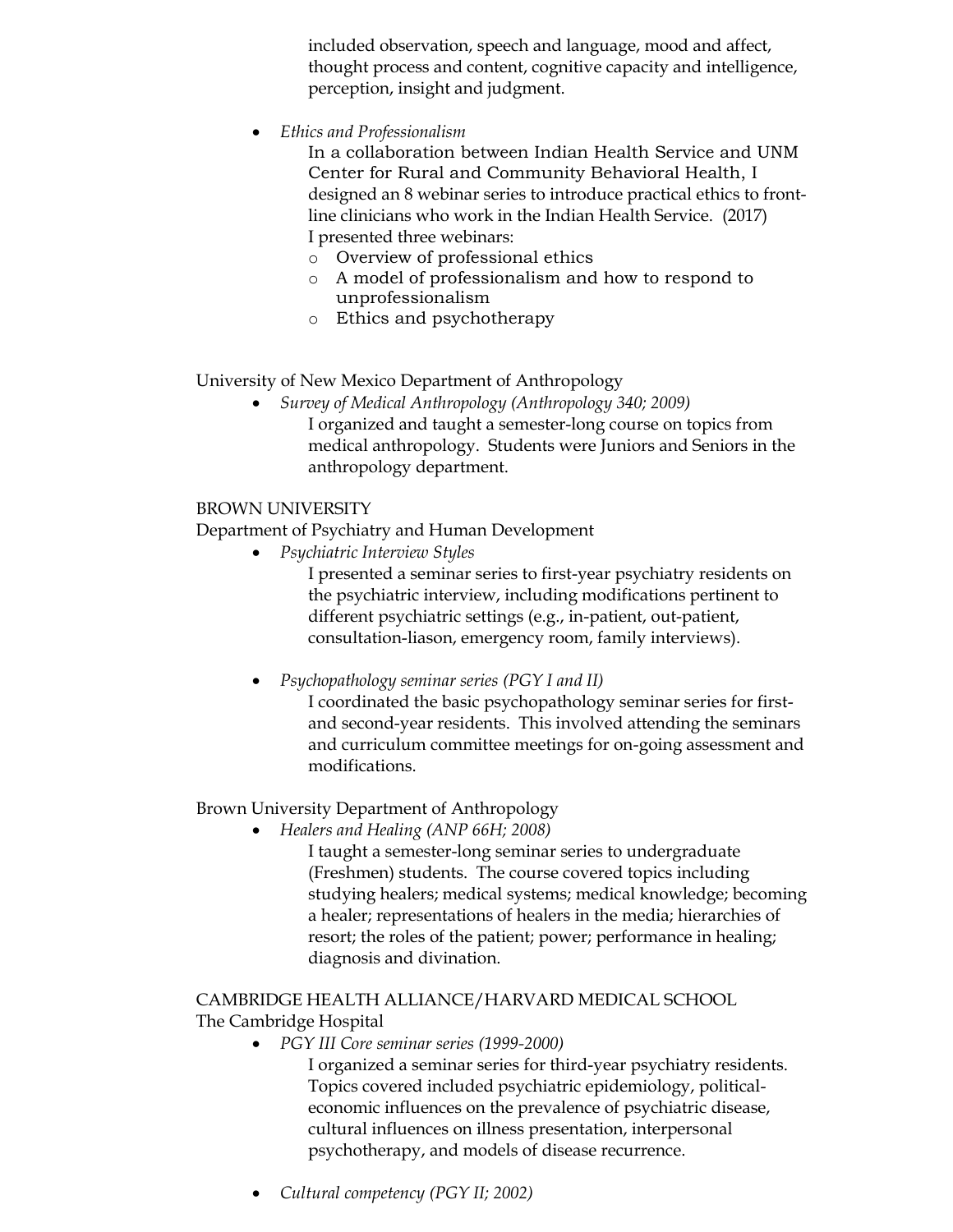included observation, speech and language, mood and affect, thought process and content, cognitive capacity and intelligence, perception, insight and judgment.

• *Ethics and Professionalism*

In a collaboration between Indian Health Service and UNM Center for Rural and Community Behavioral Health, I designed an 8 webinar series to introduce practical ethics to frontline clinicians who work in the Indian Health Service. (2017) I presented three webinars:

- o Overview of professional ethics
- o A model of professionalism and how to respond to unprofessionalism
- o Ethics and psychotherapy

University of New Mexico Department of Anthropology

• *Survey of Medical Anthropology (Anthropology 340; 2009)* I organized and taught a semester-long course on topics from medical anthropology. Students were Juniors and Seniors in the anthropology department.

### BROWN UNIVERSITY

Department of Psychiatry and Human Development

• *Psychiatric Interview Styles*

I presented a seminar series to first-year psychiatry residents on the psychiatric interview, including modifications pertinent to different psychiatric settings (e.g., in-patient, out-patient, consultation-liason, emergency room, family interviews).

• *Psychopathology seminar series (PGY I and II)*

I coordinated the basic psychopathology seminar series for firstand second-year residents. This involved attending the seminars and curriculum committee meetings for on-going assessment and modifications.

## Brown University Department of Anthropology

- *Healers and Healing (ANP 66H; 2008)*
	- I taught a semester-long seminar series to undergraduate (Freshmen) students. The course covered topics including studying healers; medical systems; medical knowledge; becoming a healer; representations of healers in the media; hierarchies of resort; the roles of the patient; power; performance in healing; diagnosis and divination.

#### CAMBRIDGE HEALTH ALLIANCE/HARVARD MEDICAL SCHOOL

The Cambridge Hospital

- *PGY III Core seminar series (1999-2000)*
	- I organized a seminar series for third-year psychiatry residents. Topics covered included psychiatric epidemiology, politicaleconomic influences on the prevalence of psychiatric disease, cultural influences on illness presentation, interpersonal psychotherapy, and models of disease recurrence.
- *Cultural competency (PGY II; 2002)*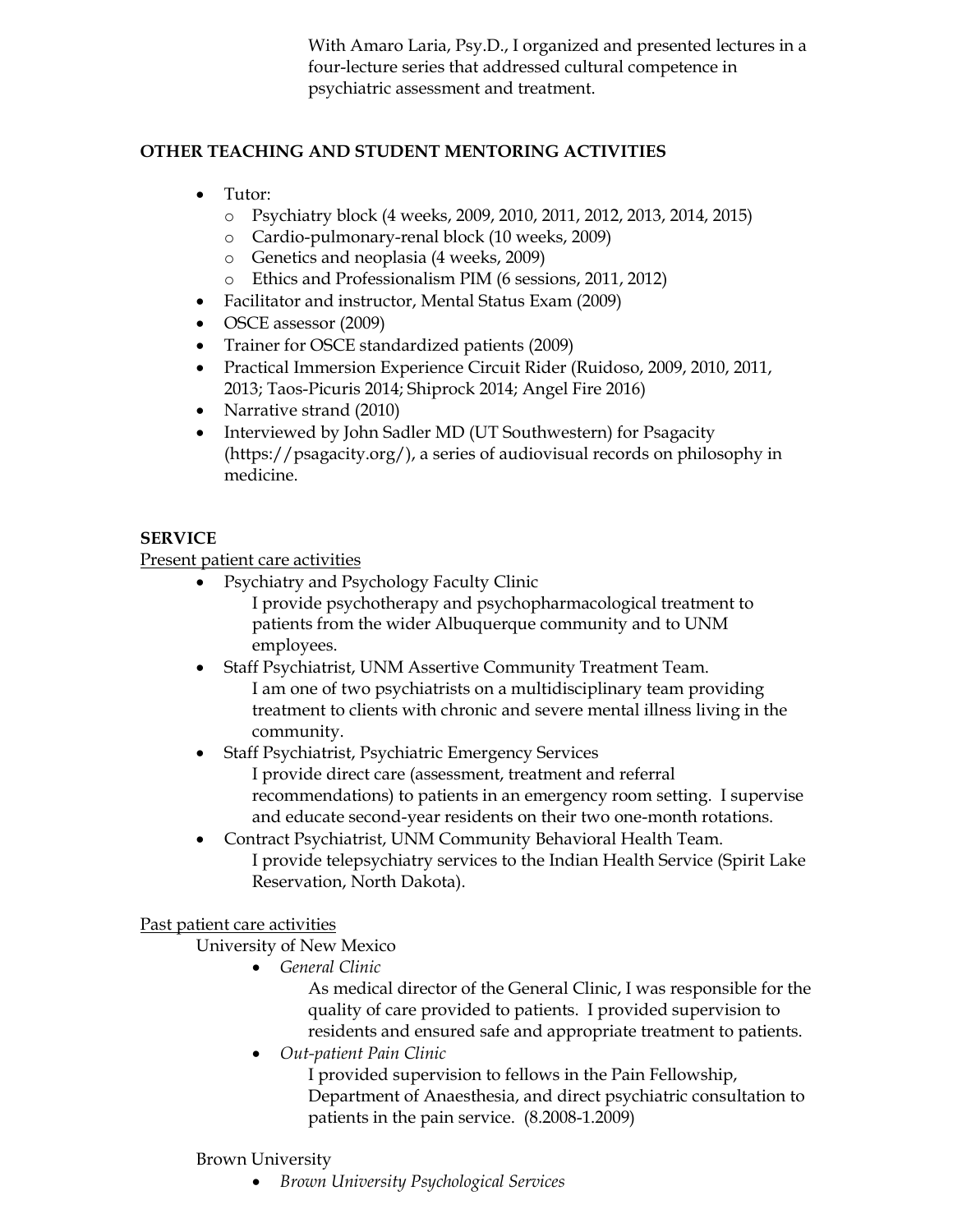With Amaro Laria, Psy.D., I organized and presented lectures in a four-lecture series that addressed cultural competence in psychiatric assessment and treatment.

## **OTHER TEACHING AND STUDENT MENTORING ACTIVITIES**

- Tutor:
	- o Psychiatry block (4 weeks, 2009, 2010, 2011, 2012, 2013, 2014, 2015)
	- o Cardio-pulmonary-renal block (10 weeks, 2009)
	- o Genetics and neoplasia (4 weeks, 2009)
	- o Ethics and Professionalism PIM (6 sessions, 2011, 2012)
- Facilitator and instructor, Mental Status Exam (2009)
- OSCE assessor (2009)
- Trainer for OSCE standardized patients (2009)
- Practical Immersion Experience Circuit Rider (Ruidoso, 2009, 2010, 2011, 2013; Taos-Picuris 2014; Shiprock 2014; Angel Fire 2016)
- Narrative strand (2010)
- Interviewed by John Sadler MD (UT Southwestern) for Psagacity (https://psagacity.org/), a series of audiovisual records on philosophy in medicine.

## **SERVICE**

Present patient care activities

- Psychiatry and Psychology Faculty Clinic I provide psychotherapy and psychopharmacological treatment to patients from the wider Albuquerque community and to UNM employees.
- Staff Psychiatrist, UNM Assertive Community Treatment Team. I am one of two psychiatrists on a multidisciplinary team providing treatment to clients with chronic and severe mental illness living in the community.
- Staff Psychiatrist, Psychiatric Emergency Services I provide direct care (assessment, treatment and referral recommendations) to patients in an emergency room setting. I supervise and educate second-year residents on their two one-month rotations.
- Contract Psychiatrist, UNM Community Behavioral Health Team. I provide telepsychiatry services to the Indian Health Service (Spirit Lake Reservation, North Dakota).

## Past patient care activities

University of New Mexico

• *General Clinic*

As medical director of the General Clinic, I was responsible for the quality of care provided to patients. I provided supervision to residents and ensured safe and appropriate treatment to patients.

• *Out-patient Pain Clinic*

I provided supervision to fellows in the Pain Fellowship, Department of Anaesthesia, and direct psychiatric consultation to patients in the pain service. (8.2008-1.2009)

#### Brown University

• *Brown University Psychological Services*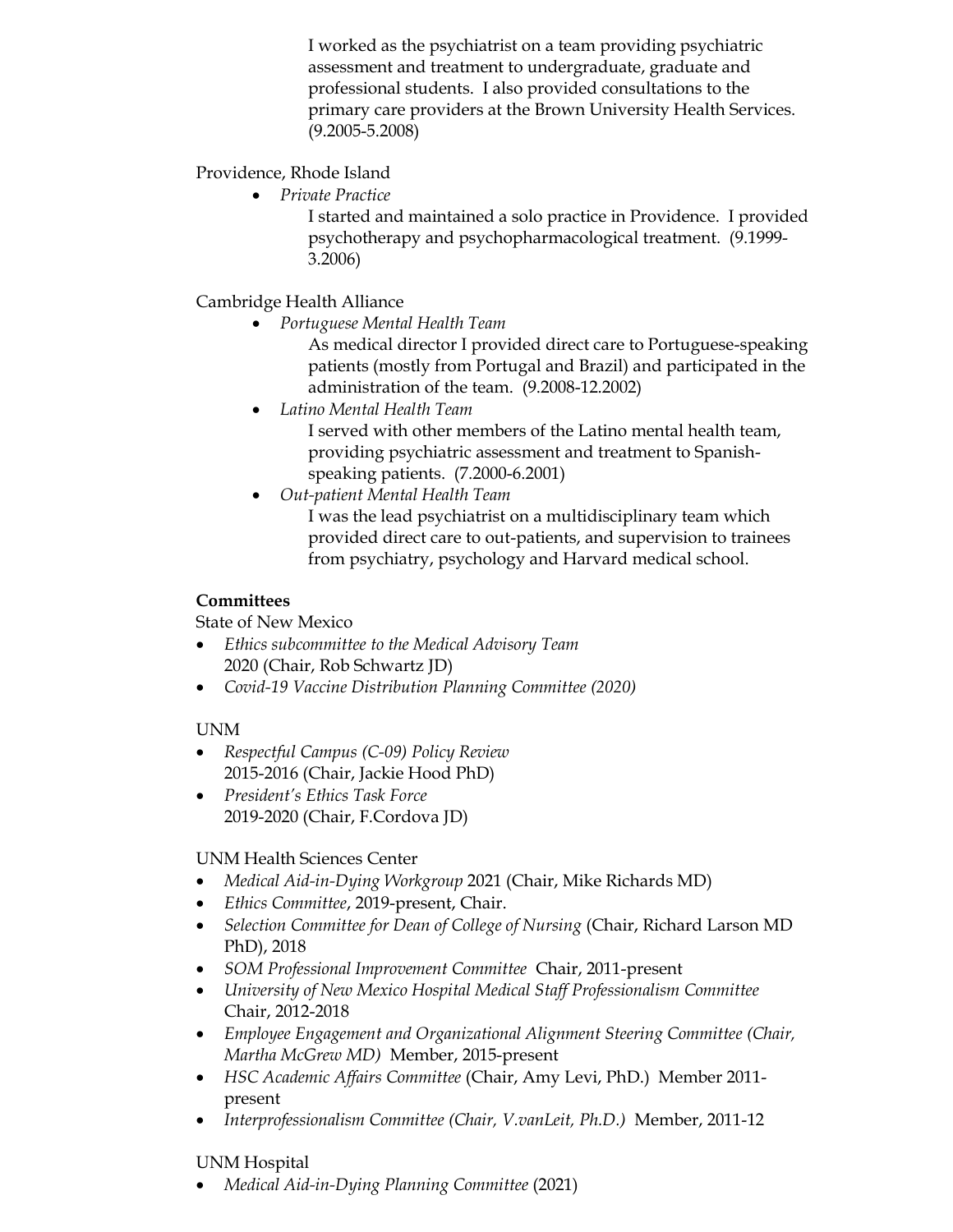I worked as the psychiatrist on a team providing psychiatric assessment and treatment to undergraduate, graduate and professional students. I also provided consultations to the primary care providers at the Brown University Health Services. (9.2005-5.2008)

Providence, Rhode Island

• *Private Practice*

I started and maintained a solo practice in Providence. I provided psychotherapy and psychopharmacological treatment. (9.1999- 3.2006)

Cambridge Health Alliance

• *Portuguese Mental Health Team*

As medical director I provided direct care to Portuguese-speaking patients (mostly from Portugal and Brazil) and participated in the administration of the team. (9.2008-12.2002)

- *Latino Mental Health Team* I served with other members of the Latino mental health team, providing psychiatric assessment and treatment to Spanishspeaking patients. (7.2000-6.2001)
- *Out-patient Mental Health Team*

I was the lead psychiatrist on a multidisciplinary team which provided direct care to out-patients, and supervision to trainees from psychiatry, psychology and Harvard medical school.

## **Committees**

State of New Mexico

- *Ethics subcommittee to the Medical Advisory Team* 2020 (Chair, Rob Schwartz JD)
- *Covid-19 Vaccine Distribution Planning Committee (2020)*

# UNM

- *Respectful Campus (C-09) Policy Review* 2015-2016 (Chair, Jackie Hood PhD)
- *President's Ethics Task Force* 2019-2020 (Chair, F.Cordova JD)

# UNM Health Sciences Center

- *Medical Aid-in-Dying Workgroup* 2021 (Chair, Mike Richards MD)
- *Ethics Committee*, 2019-present, Chair.
- *Selection Committee for Dean of College of Nursing* (Chair, Richard Larson MD PhD), 2018
- *SOM Professional Improvement Committee* Chair, 2011-present
- *University of New Mexico Hospital Medical Staff Professionalism Committee*  Chair, 2012-2018
- *Employee Engagement and Organizational Alignment Steering Committee (Chair, Martha McGrew MD)* Member, 2015-present
- *HSC Academic Affairs Committee* (Chair, Amy Levi, PhD.) Member 2011 present
- *Interprofessionalism Committee (Chair, V.vanLeit, Ph.D.)* Member, 2011-12

# UNM Hospital

• *Medical Aid-in-Dying Planning Committee* (2021)